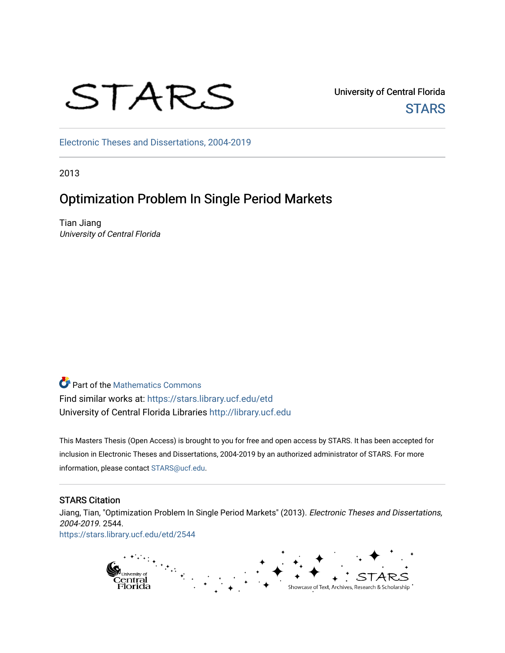# STARS

University of Central Florida **STARS** 

[Electronic Theses and Dissertations, 2004-2019](https://stars.library.ucf.edu/etd) 

2013

# Optimization Problem In Single Period Markets

Tian Jiang University of Central Florida

**P** Part of the [Mathematics Commons](http://network.bepress.com/hgg/discipline/174?utm_source=stars.library.ucf.edu%2Fetd%2F2544&utm_medium=PDF&utm_campaign=PDFCoverPages) Find similar works at: <https://stars.library.ucf.edu/etd> University of Central Florida Libraries [http://library.ucf.edu](http://library.ucf.edu/) 

This Masters Thesis (Open Access) is brought to you for free and open access by STARS. It has been accepted for inclusion in Electronic Theses and Dissertations, 2004-2019 by an authorized administrator of STARS. For more information, please contact [STARS@ucf.edu.](mailto:STARS@ucf.edu)

#### STARS Citation

Jiang, Tian, "Optimization Problem In Single Period Markets" (2013). Electronic Theses and Dissertations, 2004-2019. 2544. [https://stars.library.ucf.edu/etd/2544](https://stars.library.ucf.edu/etd/2544?utm_source=stars.library.ucf.edu%2Fetd%2F2544&utm_medium=PDF&utm_campaign=PDFCoverPages) 

> $\ddot{t}$ g<br>Central<br>Florida Showcase of Text, Archives, Research & Scholarship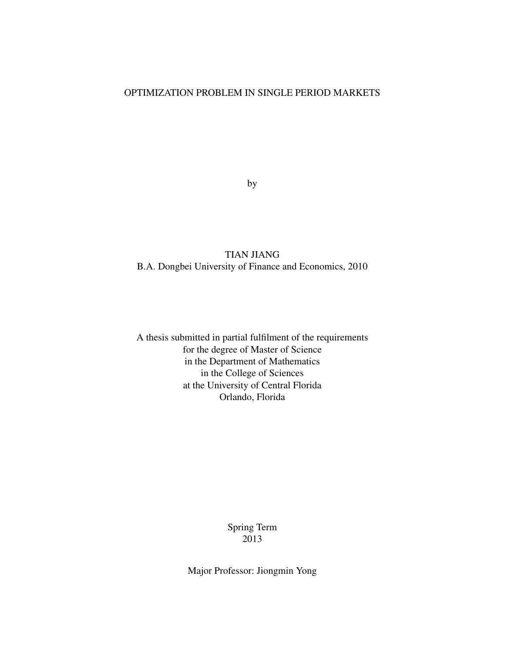#### OPTIMIZATION PROBLEM IN SINGLE PERIOD MARKETS

by

#### TIAN JIANG B.A. Dongbei University of Finance and Economics, 2010

A thesis submitted in partial fulfilment of the requirements for the degree of Master of Science in the Department of Mathematics in the College of Sciences at the University of Central Florida Orlando, Florida

> Spring Term 2013

Major Professor: Jiongmin Yong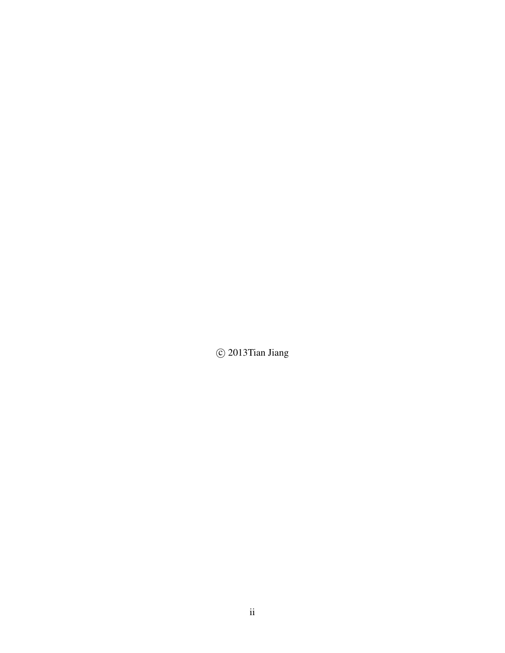$\circled{c}$  2013<br>Tian Jiang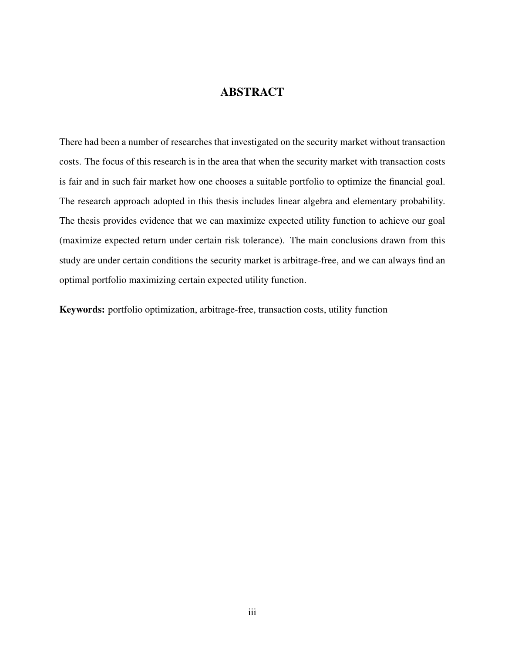### **ABSTRACT**

There had been a number of researches that investigated on the security market without transaction costs. The focus of this research is in the area that when the security market with transaction costs is fair and in such fair market how one chooses a suitable portfolio to optimize the financial goal. The research approach adopted in this thesis includes linear algebra and elementary probability. The thesis provides evidence that we can maximize expected utility function to achieve our goal (maximize expected return under certain risk tolerance). The main conclusions drawn from this study are under certain conditions the security market is arbitrage-free, and we can always find an optimal portfolio maximizing certain expected utility function.

Keywords: portfolio optimization, arbitrage-free, transaction costs, utility function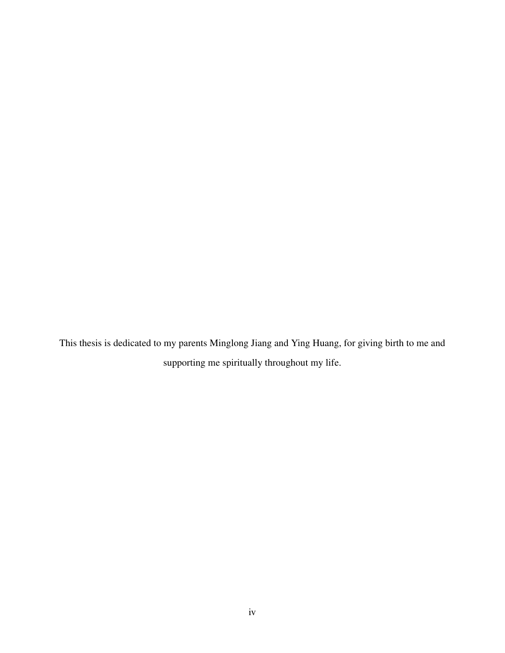This thesis is dedicated to my parents Minglong Jiang and Ying Huang, for giving birth to me and supporting me spiritually throughout my life.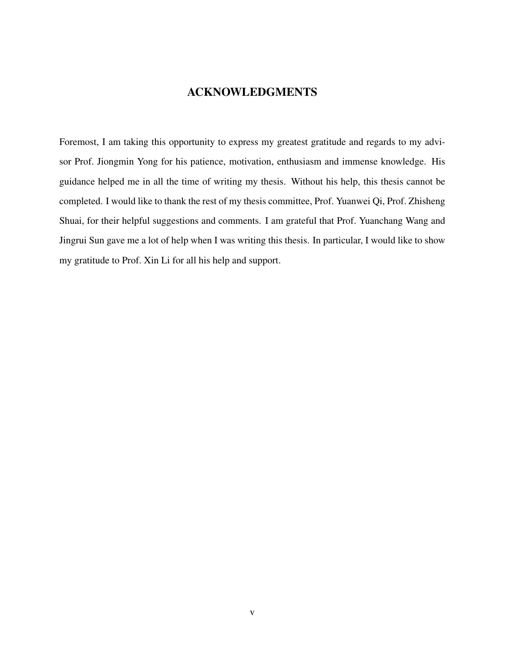## ACKNOWLEDGMENTS

Foremost, I am taking this opportunity to express my greatest gratitude and regards to my advisor Prof. Jiongmin Yong for his patience, motivation, enthusiasm and immense knowledge. His guidance helped me in all the time of writing my thesis. Without his help, this thesis cannot be completed. I would like to thank the rest of my thesis committee, Prof. Yuanwei Qi, Prof. Zhisheng Shuai, for their helpful suggestions and comments. I am grateful that Prof. Yuanchang Wang and Jingrui Sun gave me a lot of help when I was writing this thesis. In particular, I would like to show my gratitude to Prof. Xin Li for all his help and support.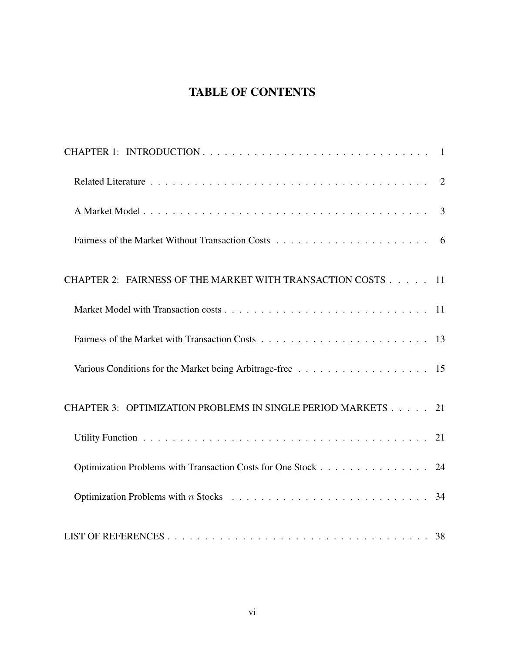# TABLE OF CONTENTS

| CHAPTER 2: FAIRNESS OF THE MARKET WITH TRANSACTION COSTS 11  |    |
|--------------------------------------------------------------|----|
|                                                              |    |
|                                                              |    |
|                                                              |    |
| CHAPTER 3: OPTIMIZATION PROBLEMS IN SINGLE PERIOD MARKETS 21 |    |
|                                                              |    |
| Optimization Problems with Transaction Costs for One Stock   | 24 |
|                                                              |    |
|                                                              |    |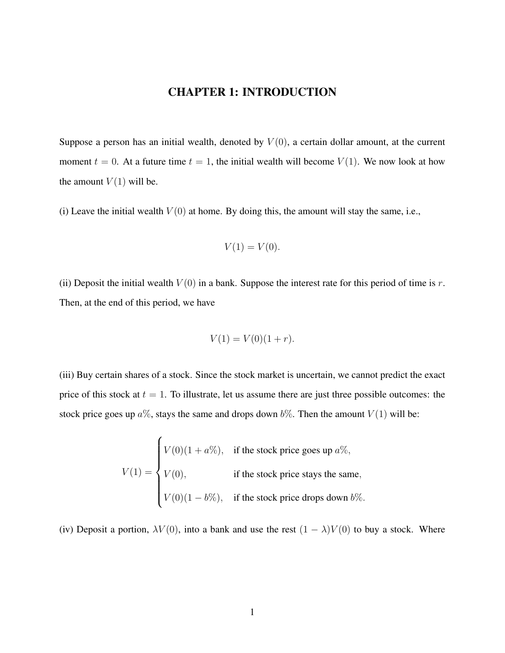## CHAPTER 1: INTRODUCTION

<span id="page-7-0"></span>Suppose a person has an initial wealth, denoted by  $V(0)$ , a certain dollar amount, at the current moment  $t = 0$ . At a future time  $t = 1$ , the initial wealth will become  $V(1)$ . We now look at how the amount  $V(1)$  will be.

(i) Leave the initial wealth  $V(0)$  at home. By doing this, the amount will stay the same, i.e.,

$$
V(1) = V(0).
$$

(ii) Deposit the initial wealth  $V(0)$  in a bank. Suppose the interest rate for this period of time is r. Then, at the end of this period, we have

$$
V(1) = V(0)(1+r).
$$

(iii) Buy certain shares of a stock. Since the stock market is uncertain, we cannot predict the exact price of this stock at  $t = 1$ . To illustrate, let us assume there are just three possible outcomes: the stock price goes up  $a\%$ , stays the same and drops down  $b\%$ . Then the amount  $V(1)$  will be:

$$
V(1) = \begin{cases} V(0)(1 + a\%), & \text{if the stock price goes up } a\%, \\ V(0), & \text{if the stock price stays the same,} \\ V(0)(1 - b\%), & \text{if the stock price drops down } b\% . \end{cases}
$$

(iv) Deposit a portion,  $\lambda V(0)$ , into a bank and use the rest  $(1 - \lambda)V(0)$  to buy a stock. Where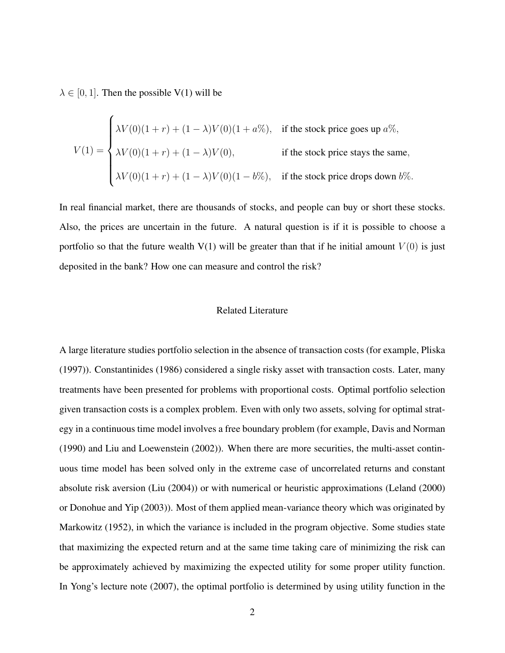$\lambda \in [0, 1]$ . Then the possible V(1) will be

$$
V(1) = \begin{cases} \lambda V(0)(1+r) + (1-\lambda)V(0)(1+a\%), & \text{if the stock price goes up } a\%, \\ \lambda V(0)(1+r) + (1-\lambda)V(0), & \text{if the stock price stays the same,} \\ \lambda V(0)(1+r) + (1-\lambda)V(0)(1-b\%), & \text{if the stock price drops down } b\%.\end{cases}
$$

In real financial market, there are thousands of stocks, and people can buy or short these stocks. Also, the prices are uncertain in the future. A natural question is if it is possible to choose a portfolio so that the future wealth  $V(1)$  will be greater than that if he initial amount  $V(0)$  is just deposited in the bank? How one can measure and control the risk?

#### <span id="page-8-0"></span>Related Literature

A large literature studies portfolio selection in the absence of transaction costs (for example, Pliska (1997)). Constantinides (1986) considered a single risky asset with transaction costs. Later, many treatments have been presented for problems with proportional costs. Optimal portfolio selection given transaction costs is a complex problem. Even with only two assets, solving for optimal strategy in a continuous time model involves a free boundary problem (for example, Davis and Norman (1990) and Liu and Loewenstein (2002)). When there are more securities, the multi-asset continuous time model has been solved only in the extreme case of uncorrelated returns and constant absolute risk aversion (Liu (2004)) or with numerical or heuristic approximations (Leland (2000) or Donohue and Yip (2003)). Most of them applied mean-variance theory which was originated by Markowitz (1952), in which the variance is included in the program objective. Some studies state that maximizing the expected return and at the same time taking care of minimizing the risk can be approximately achieved by maximizing the expected utility for some proper utility function. In Yong's lecture note (2007), the optimal portfolio is determined by using utility function in the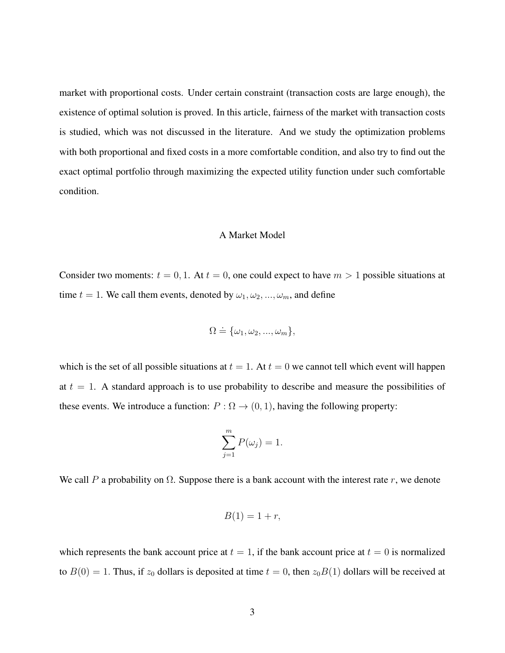market with proportional costs. Under certain constraint (transaction costs are large enough), the existence of optimal solution is proved. In this article, fairness of the market with transaction costs is studied, which was not discussed in the literature. And we study the optimization problems with both proportional and fixed costs in a more comfortable condition, and also try to find out the exact optimal portfolio through maximizing the expected utility function under such comfortable condition.

#### <span id="page-9-0"></span>A Market Model

Consider two moments:  $t = 0, 1$ . At  $t = 0$ , one could expect to have  $m > 1$  possible situations at time  $t = 1$ . We call them events, denoted by  $\omega_1, \omega_2, ..., \omega_m$ , and define

$$
\Omega \doteq \{\omega_1, \omega_2, ..., \omega_m\},\
$$

which is the set of all possible situations at  $t = 1$ . At  $t = 0$  we cannot tell which event will happen at  $t = 1$ . A standard approach is to use probability to describe and measure the possibilities of these events. We introduce a function:  $P : \Omega \to (0, 1)$ , having the following property:

$$
\sum_{j=1}^{m} P(\omega_j) = 1.
$$

We call P a probability on  $\Omega$ . Suppose there is a bank account with the interest rate r, we denote

$$
B(1) = 1 + r,
$$

which represents the bank account price at  $t = 1$ , if the bank account price at  $t = 0$  is normalized to  $B(0) = 1$ . Thus, if  $z_0$  dollars is deposited at time  $t = 0$ , then  $z_0B(1)$  dollars will be received at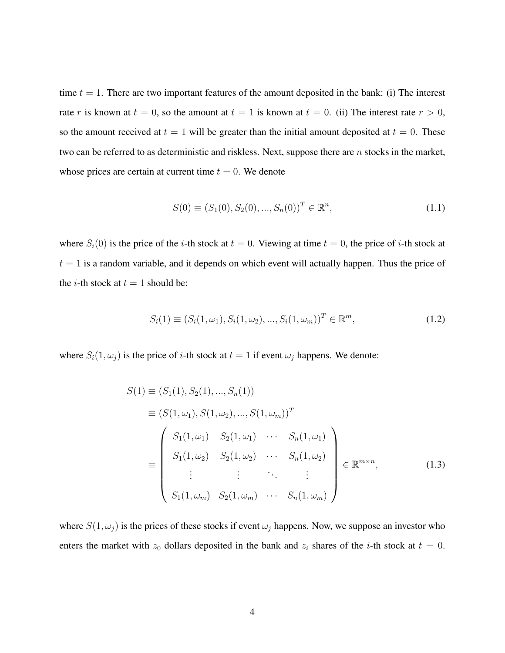time  $t = 1$ . There are two important features of the amount deposited in the bank: (i) The interest rate r is known at  $t = 0$ , so the amount at  $t = 1$  is known at  $t = 0$ . (ii) The interest rate  $r > 0$ , so the amount received at  $t = 1$  will be greater than the initial amount deposited at  $t = 0$ . These two can be referred to as deterministic and riskless. Next, suppose there are n stocks in the market, whose prices are certain at current time  $t = 0$ . We denote

$$
S(0) \equiv (S_1(0), S_2(0), ..., S_n(0))^T \in \mathbb{R}^n,
$$
\n(1.1)

where  $S_i(0)$  is the price of the *i*-th stock at  $t = 0$ . Viewing at time  $t = 0$ , the price of *i*-th stock at  $t = 1$  is a random variable, and it depends on which event will actually happen. Thus the price of the *i*-th stock at  $t = 1$  should be:

$$
S_i(1) \equiv (S_i(1,\omega_1), S_i(1,\omega_2), ..., S_i(1,\omega_m))^T \in \mathbb{R}^m,
$$
\n(1.2)

where  $S_i(1, \omega_j)$  is the price of *i*-th stock at  $t = 1$  if event  $\omega_j$  happens. We denote:

$$
S(1) \equiv (S_1(1), S_2(1), ..., S_n(1))
$$
  
\n
$$
\equiv (S(1, \omega_1), S(1, \omega_2), ..., S(1, \omega_m))^T
$$
  
\n
$$
\equiv \begin{pmatrix} S_1(1, \omega_1) & S_2(1, \omega_1) & \cdots & S_n(1, \omega_1) \\ S_1(1, \omega_2) & S_2(1, \omega_2) & \cdots & S_n(1, \omega_2) \\ \vdots & \vdots & \ddots & \vdots \\ S_1(1, \omega_m) & S_2(1, \omega_m) & \cdots & S_n(1, \omega_m) \end{pmatrix} \in \mathbb{R}^{m \times n},
$$
 (1.3)

where  $S(1, \omega_j)$  is the prices of these stocks if event  $\omega_j$  happens. Now, we suppose an investor who enters the market with  $z_0$  dollars deposited in the bank and  $z_i$  shares of the *i*-th stock at  $t = 0$ .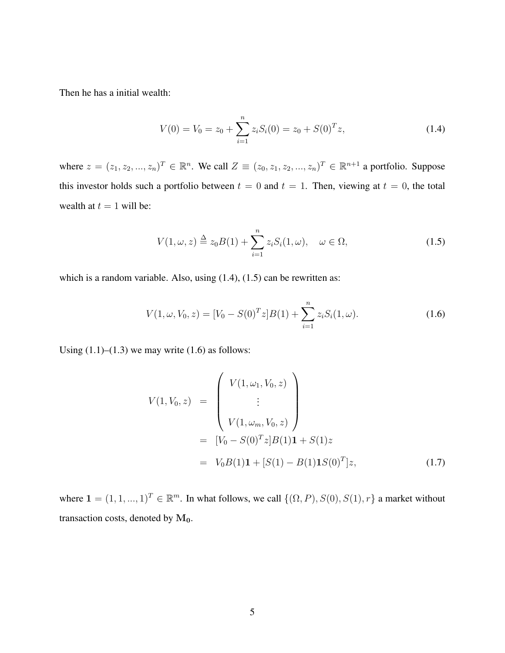Then he has a initial wealth:

$$
V(0) = V_0 = z_0 + \sum_{i=1}^{n} z_i S_i(0) = z_0 + S(0)^T z,
$$
\n(1.4)

where  $z = (z_1, z_2, ..., z_n)^T \in \mathbb{R}^n$ . We call  $Z \equiv (z_0, z_1, z_2, ..., z_n)^T \in \mathbb{R}^{n+1}$  a portfolio. Suppose this investor holds such a portfolio between  $t = 0$  and  $t = 1$ . Then, viewing at  $t = 0$ , the total wealth at  $t = 1$  will be:

$$
V(1,\omega,z) \stackrel{\Delta}{=} z_0 B(1) + \sum_{i=1}^n z_i S_i(1,\omega), \quad \omega \in \Omega,
$$
\n(1.5)

which is a random variable. Also, using  $(1.4)$ ,  $(1.5)$  can be rewritten as:

$$
V(1, \omega, V_0, z) = [V_0 - S(0)^T z] B(1) + \sum_{i=1}^n z_i S_i(1, \omega).
$$
 (1.6)

Using  $(1.1)$ – $(1.3)$  we may write  $(1.6)$  as follows:

<span id="page-11-0"></span>
$$
V(1, V_0, z) = \begin{pmatrix} V(1, \omega_1, V_0, z) \\ \vdots \\ V(1, \omega_m, V_0, z) \end{pmatrix}
$$
  
= 
$$
[V_0 - S(0)^T z] B(1) \mathbf{1} + S(1) z
$$
  
= 
$$
V_0 B(1) \mathbf{1} + [S(1) - B(1) \mathbf{1} S(0)^T] z,
$$
 (1.7)

where  $\mathbf{1} = (1, 1, ..., 1)^T \in \mathbb{R}^m$ . In what follows, we call  $\{(\Omega, P), S(0), S(1), r\}$  a market without transaction costs, denoted by  $M_0$ .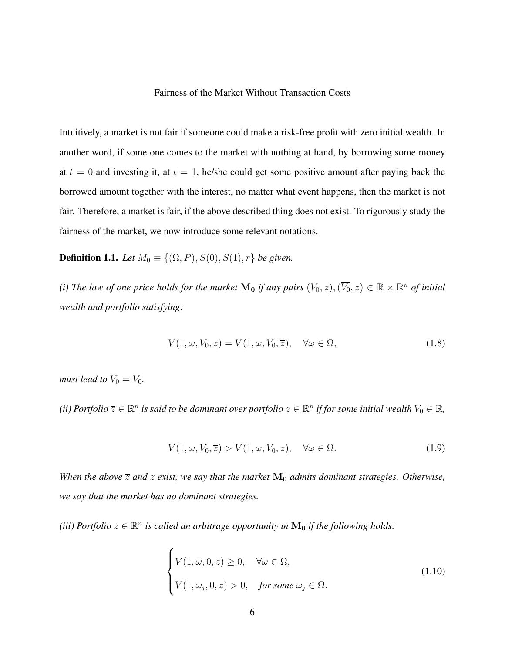#### <span id="page-12-0"></span>Fairness of the Market Without Transaction Costs

Intuitively, a market is not fair if someone could make a risk-free profit with zero initial wealth. In another word, if some one comes to the market with nothing at hand, by borrowing some money at  $t = 0$  and investing it, at  $t = 1$ , he/she could get some positive amount after paying back the borrowed amount together with the interest, no matter what event happens, then the market is not fair. Therefore, a market is fair, if the above described thing does not exist. To rigorously study the fairness of the market, we now introduce some relevant notations.

**Definition 1.1.** *Let*  $M_0 \equiv \{(\Omega, P), S(0), S(1), r\}$  *be given.* 

*(i) The law of one price holds for the market*  $M_0$  *if any pairs*  $(V_0, z), (\overline{V_0}, \overline{z}) \in \mathbb{R} \times \mathbb{R}^n$  *of initial wealth and portfolio satisfying:*

$$
V(1, \omega, V_0, z) = V(1, \omega, \overline{V_0}, \overline{z}), \quad \forall \omega \in \Omega,
$$
\n(1.8)

*must lead to*  $V_0 = \overline{V_0}$ *.* 

*(ii)* Portfolio  $\overline{z} \in \mathbb{R}^n$  is said to be dominant over portfolio  $z \in \mathbb{R}^n$  if for some initial wealth  $V_0 \in \mathbb{R}$ ,

$$
V(1, \omega, V_0, \overline{z}) > V(1, \omega, V_0, z), \quad \forall \omega \in \Omega.
$$
 (1.9)

*When the above*  $\overline{z}$  *and*  $z$  *exist, we say that the market*  $M_0$  *admits dominant strategies. Otherwise, we say that the market has no dominant strategies.*

(*iii*) Portfolio  $z \in \mathbb{R}^n$  is called an arbitrage opportunity in  $\mathbf{M_0}$  if the following holds:

$$
\begin{cases}\nV(1,\omega,0,z) \ge 0, & \forall \omega \in \Omega, \\
V(1,\omega_j,0,z) > 0, & \text{for some } \omega_j \in \Omega.\n\end{cases}
$$
\n(1.10)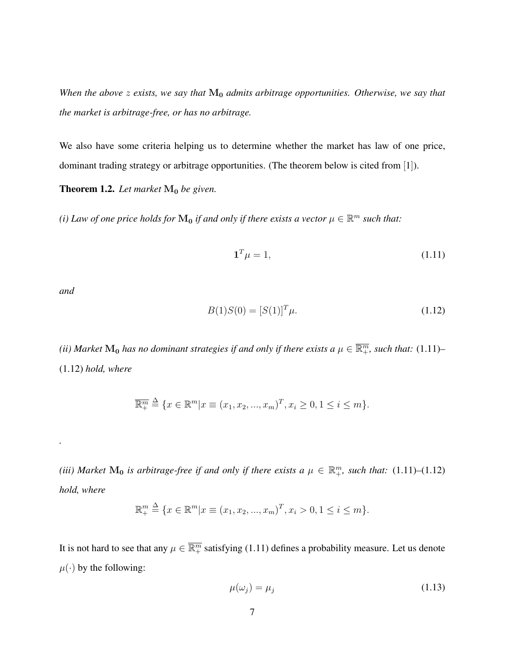*When the above z exists, we say that*  $M_0$  *admits arbitrage opportunities. Otherwise, we say that the market is arbitrage-free, or has no arbitrage.*

We also have some criteria helping us to determine whether the market has law of one price, dominant trading strategy or arbitrage opportunities. (The theorem below is cited from [[1](#page-44-1)]).

**Theorem 1.2.** Let market  $M_0$  be given.

(*i*) Law of one price holds for  $M_0$  if and only if there exists a vector  $\mu \in \mathbb{R}^m$  such that:

<span id="page-13-0"></span>
$$
\mathbf{1}^T \mu = 1,\tag{1.11}
$$

<span id="page-13-1"></span>*and*

*.*

$$
B(1)S(0) = [S(1)]^T \mu.
$$
\n(1.12)

(ii) Market  $M_0$  has no dominant strategies if and only if there exists a  $\mu\in\overline{\R_+^m}$ , such that: [\(1.11\)](#page-13-0)– [\(1.12\)](#page-13-1) *hold, where*

$$
\overline{\mathbb{R}_+^m} \stackrel{\Delta}{=} \{x \in \mathbb{R}^m | x \equiv (x_1, x_2, ..., x_m)^T, x_i \ge 0, 1 \le i \le m\}.
$$

(*iii*) Market  $\mathbf{M_0}$  is arbitrage-free if and only if there exists a  $\mu \in \mathbb{R}_+^m$ , such that: [\(1.11\)](#page-13-0)–[\(1.12\)](#page-13-1) *hold, where*

<span id="page-13-2"></span>
$$
\mathbb{R}^m_+ \stackrel{\Delta}{=} \{x \in \mathbb{R}^m | x \equiv (x_1, x_2, ..., x_m)^T, x_i > 0, 1 \le i \le m\}.
$$

It is not hard to see that any  $\mu \in \overline{\mathbb{R}^m_+}$  satisfying [\(1.11\)](#page-13-0) defines a probability measure. Let us denote  $\mu(\cdot)$  by the following:

$$
\mu(\omega_j) = \mu_j \tag{1.13}
$$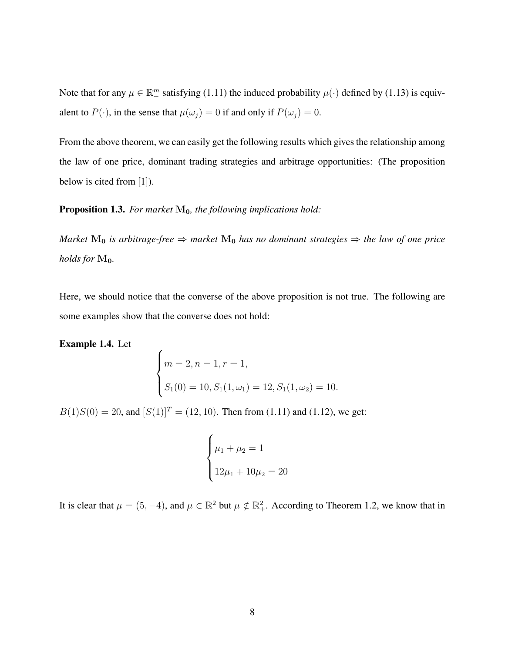Note that for any  $\mu \in \mathbb{R}^m_+$  satisfying [\(1.11\)](#page-13-0) the induced probability  $\mu(\cdot)$  defined by [\(1.13\)](#page-13-2) is equivalent to  $P(\cdot)$ , in the sense that  $\mu(\omega_i) = 0$  if and only if  $P(\omega_i) = 0$ .

From the above theorem, we can easily get the following results which gives the relationship among the law of one price, dominant trading strategies and arbitrage opportunities: (The proposition below is cited from [[1](#page-44-1)]).

Proposition 1.3. For market  $M_0$ , the following implications hold:

 $\epsilon$ 

*Market*  $M_0$  *is arbitrage-free*  $\Rightarrow$  *market*  $M_0$  *has no dominant strategies*  $\Rightarrow$  *the law of one price holds for*  $M_0$ *.* 

Here, we should notice that the converse of the above proposition is not true. The following are some examples show that the converse does not hold:

Example 1.4. Let

$$
\begin{cases}\nm = 2, n = 1, r = 1, \\
S_1(0) = 10, S_1(1, \omega_1) = 12, S_1(1, \omega_2) = 10.\n\end{cases}
$$

 $B(1)S(0) = 20$ , and  $[S(1)]^T = (12, 10)$ . Then from [\(1.11\)](#page-13-0) and [\(1.12\)](#page-13-1), we get:

$$
\begin{cases} \mu_1 + \mu_2 = 1 \\ 12\mu_1 + 10\mu_2 = 20 \end{cases}
$$

It is clear that  $\mu = (5, -4)$ , and  $\mu \in \mathbb{R}^2$  but  $\mu \notin \overline{\mathbb{R}^2_+}$ . According to Theorem 1.2, we know that in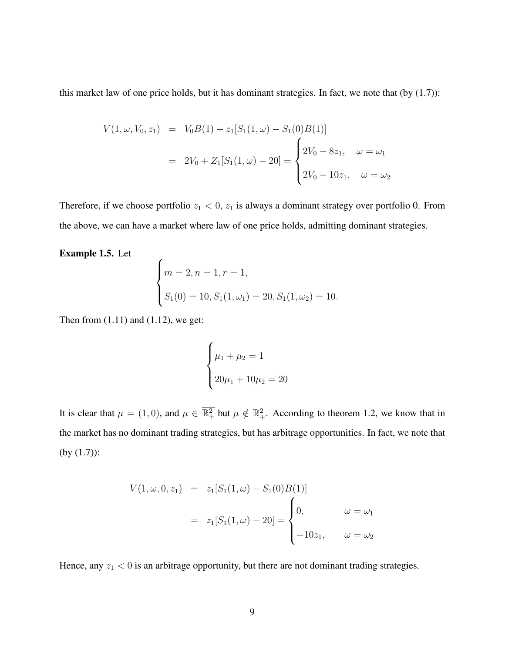this market law of one price holds, but it has dominant strategies. In fact, we note that (by [\(1.7\)](#page-11-0)):

$$
V(1, \omega, V_0, z_1) = V_0 B(1) + z_1 [S_1(1, \omega) - S_1(0)B(1)]
$$
  
= 
$$
2V_0 + Z_1 [S_1(1, \omega) - 20] = \begin{cases} 2V_0 - 8z_1, & \omega = \omega_1 \\ 2V_0 - 10z_1, & \omega = \omega_2 \end{cases}
$$

Therefore, if we choose portfolio  $z_1 < 0$ ,  $z_1$  is always a dominant strategy over portfolio 0. From the above, we can have a market where law of one price holds, admitting dominant strategies.

Example 1.5. Let

$$
\begin{cases} m = 2, n = 1, r = 1, \\ S_1(0) = 10, S_1(1, \omega_1) = 20, S_1(1, \omega_2) = 10. \end{cases}
$$

Then from  $(1.11)$  and  $(1.12)$ , we get:

 $\overline{ }$ 

$$
\begin{cases} \mu_1 + \mu_2 = 1 \\ 20\mu_1 + 10\mu_2 = 20 \end{cases}
$$

It is clear that  $\mu = (1,0)$ , and  $\mu \in \overline{\mathbb{R}^2_+}$  but  $\mu \notin \mathbb{R}^2_+$ . According to theorem 1.2, we know that in the market has no dominant trading strategies, but has arbitrage opportunities. In fact, we note that (by [\(1.7\)](#page-11-0)):

$$
V(1, \omega, 0, z_1) = z_1[S_1(1, \omega) - S_1(0)B(1)]
$$
  
=  $z_1[S_1(1, \omega) - 20] =\begin{cases} 0, & \omega = \omega_1 \\ -10z_1, & \omega = \omega_2 \end{cases}$ 

Hence, any  $z_1 < 0$  is an arbitrage opportunity, but there are not dominant trading strategies.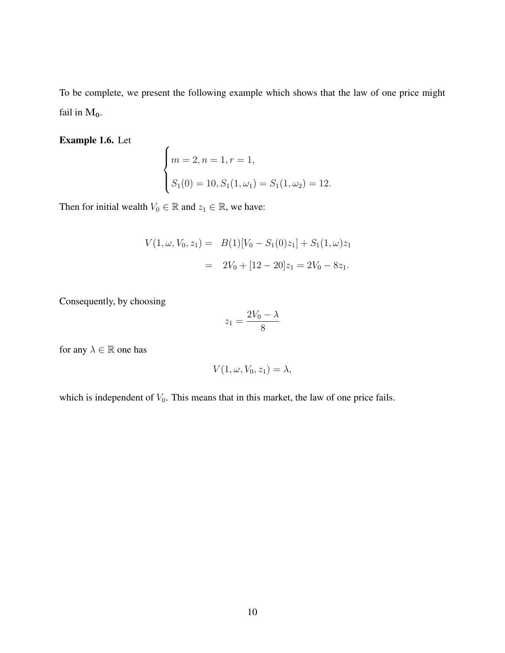To be complete, we present the following example which shows that the law of one price might fail in  $M_0$ .

Example 1.6. Let

$$
\begin{cases} m = 2, n = 1, r = 1, \\ S_1(0) = 10, S_1(1, \omega_1) = S_1(1, \omega_2) = 12. \end{cases}
$$

Then for initial wealth  $V_0 \in \mathbb{R}$  and  $z_1 \in \mathbb{R}$ , we have:

$$
V(1, \omega, V_0, z_1) = B(1)[V_0 - S_1(0)z_1] + S_1(1, \omega)z_1
$$
  
= 
$$
2V_0 + [12 - 20]z_1 = 2V_0 - 8z_1.
$$

Consequently, by choosing

$$
z_1 = \frac{2V_0 - \lambda}{8}
$$

for any  $\lambda \in \mathbb{R}$  one has

$$
V(1, \omega, V_0, z_1) = \lambda,
$$

which is independent of  $V_0$ . This means that in this market, the law of one price fails.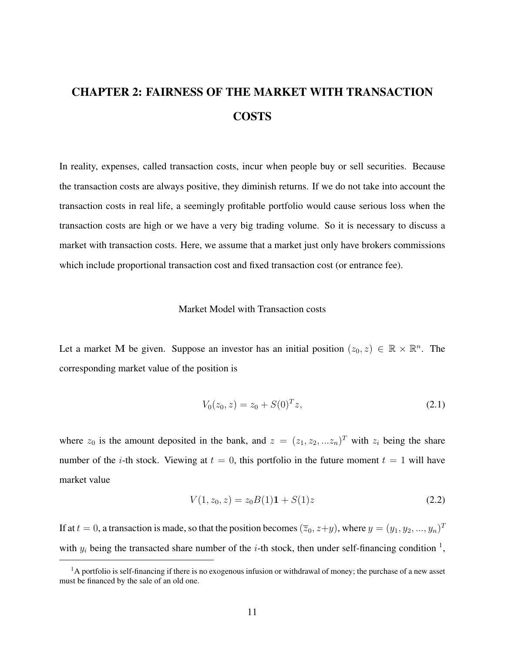# <span id="page-17-0"></span>CHAPTER 2: FAIRNESS OF THE MARKET WITH TRANSACTION COSTS

In reality, expenses, called transaction costs, incur when people buy or sell securities. Because the transaction costs are always positive, they diminish returns. If we do not take into account the transaction costs in real life, a seemingly profitable portfolio would cause serious loss when the transaction costs are high or we have a very big trading volume. So it is necessary to discuss a market with transaction costs. Here, we assume that a market just only have brokers commissions which include proportional transaction cost and fixed transaction cost (or entrance fee).

#### <span id="page-17-1"></span>Market Model with Transaction costs

Let a market M be given. Suppose an investor has an initial position  $(z_0, z) \in \mathbb{R} \times \mathbb{R}^n$ . The corresponding market value of the position is

$$
V_0(z_0, z) = z_0 + S(0)^T z,
$$
\n(2.1)

where  $z_0$  is the amount deposited in the bank, and  $z = (z_1, z_2, ... z_n)^T$  with  $z_i$  being the share number of the *i*-th stock. Viewing at  $t = 0$ , this portfolio in the future moment  $t = 1$  will have market value

$$
V(1, z_0, z) = z_0 B(1) \mathbf{1} + S(1) z \tag{2.2}
$$

If at  $t = 0$ , a transaction is made, so that the position becomes  $(\overline{z}_0, z+y)$ , where  $y = (y_1, y_2, ..., y_n)^T$ with  $y_i$  being the transacted share number of the *i*-th stock, then under self-financing condition <sup>[1](#page-17-2)</sup>,

<span id="page-17-2"></span> $<sup>1</sup>A$  portfolio is self-financing if there is no exogenous infusion or withdrawal of money; the purchase of a new asset</sup> must be financed by the sale of an old one.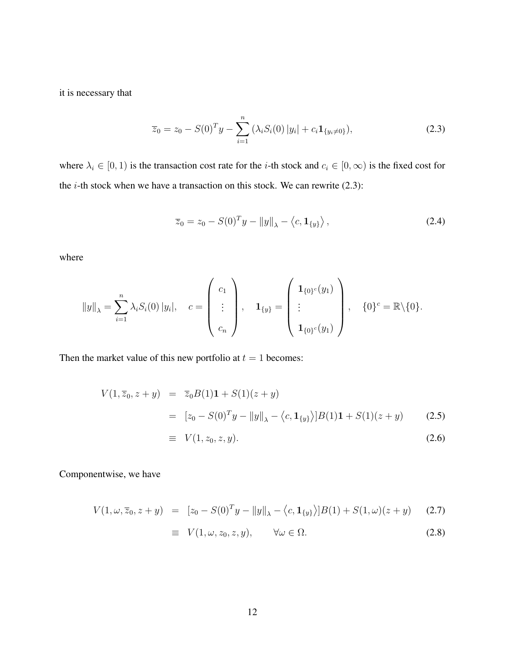it is necessary that

<span id="page-18-0"></span>
$$
\overline{z}_0 = z_0 - S(0)^T y - \sum_{i=1}^n (\lambda_i S_i(0) |y_i| + c_i \mathbf{1}_{\{y_i \neq 0\}}),
$$
\n(2.3)

where  $\lambda_i \in [0, 1)$  is the transaction cost rate for the *i*-th stock and  $c_i \in [0, \infty)$  is the fixed cost for the  $i$ -th stock when we have a transaction on this stock. We can rewrite  $(2.3)$ :

$$
\overline{z}_0 = z_0 - S(0)^T y - ||y||_{\lambda} - \langle c, \mathbf{1}_{\{y\}} \rangle, \qquad (2.4)
$$

where

$$
||y||_{\lambda} = \sum_{i=1}^{n} \lambda_i S_i(0) |y_i|, \quad c = \begin{pmatrix} c_1 \\ \vdots \\ c_n \end{pmatrix}, \quad \mathbf{1}_{\{y\}} = \begin{pmatrix} \mathbf{1}_{\{0\}^c}(y_1) \\ \vdots \\ \mathbf{1}_{\{0\}^c}(y_1) \end{pmatrix}, \quad \{0\}^c = \mathbb{R} \setminus \{0\}.
$$

Then the market value of this new portfolio at  $t = 1$  becomes:

<span id="page-18-1"></span>
$$
V(1, \bar{z}_0, z + y) = \bar{z}_0 B(1) \mathbf{1} + S(1)(z + y)
$$
  
=  $[z_0 - S(0)^T y - ||y||_{\lambda} - \langle c, \mathbf{1}_{\{y\}} \rangle] B(1) \mathbf{1} + S(1)(z + y)$  (2.5)

$$
\equiv V(1, z_0, z, y). \tag{2.6}
$$

Componentwise, we have

$$
V(1, \omega, \overline{z}_0, z + y) = [z_0 - S(0)^T y - ||y||_{\lambda} - \langle c, \mathbf{1}_{\{y\}} \rangle] B(1) + S(1, \omega)(z + y)
$$
(2.7)

$$
\equiv V(1, \omega, z_0, z, y), \qquad \forall \omega \in \Omega.
$$
 (2.8)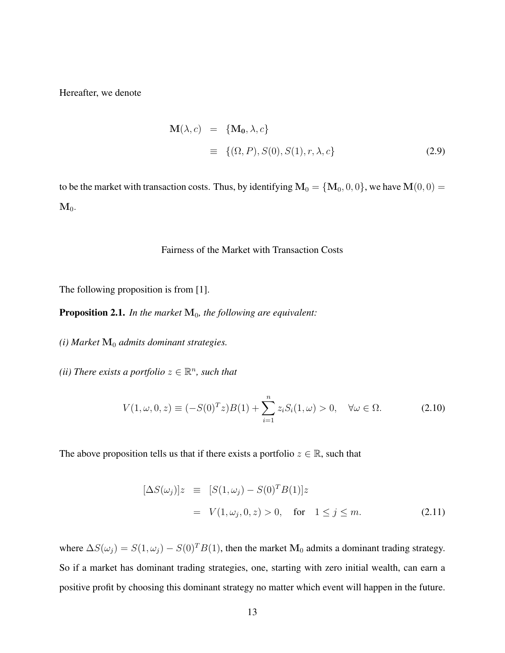Hereafter, we denote

$$
\mathbf{M}(\lambda, c) = \{\mathbf{M_0}, \lambda, c\}
$$
  

$$
\equiv \{(\Omega, P), S(0), S(1), r, \lambda, c\}
$$
 (2.9)

to be the market with transaction costs. Thus, by identifying  $M_0 = {M_0, 0, 0}$ , we have  $M(0, 0) =$  $\mathbf{M}_0$ .

#### <span id="page-19-0"></span>Fairness of the Market with Transaction Costs

The following proposition is from [\[1\]](#page-44-1).

Proposition 2.1. *In the market*  $M_0$ *, the following are equivalent:* 

 $(i)$  Market  $\mathbf{M}_0$  *admits dominant strategies.* 

*(ii)* There exists a portfolio  $z \in \mathbb{R}^n$ , such that

$$
V(1, \omega, 0, z) \equiv (-S(0)^T z)B(1) + \sum_{i=1}^n z_i S_i(1, \omega) > 0, \quad \forall \omega \in \Omega.
$$
 (2.10)

The above proposition tells us that if there exists a portfolio  $z \in \mathbb{R}$ , such that

$$
[\Delta S(\omega_j)]z \equiv [S(1,\omega_j) - S(0)^T B(1)]z
$$
  
=  $V(1,\omega_j, 0, z) > 0$ , for  $1 \le j \le m$ . (2.11)

where  $\Delta S(\omega_j) = S(1, \omega_j) - S(0)^T B(1)$ , then the market M<sub>0</sub> admits a dominant trading strategy. So if a market has dominant trading strategies, one, starting with zero initial wealth, can earn a positive profit by choosing this dominant strategy no matter which event will happen in the future.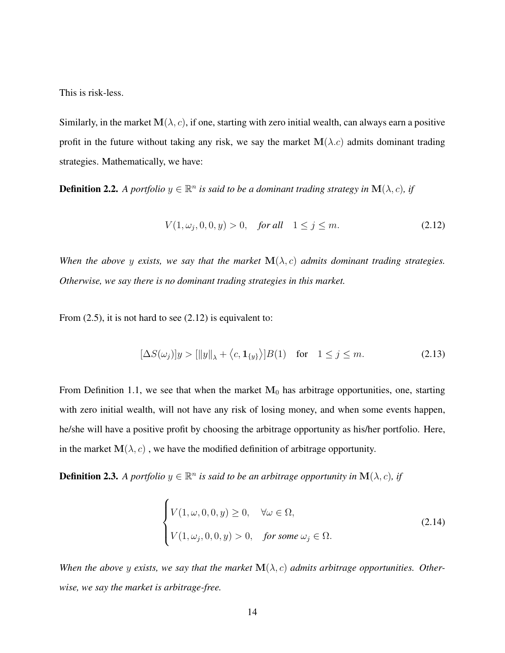This is risk-less.

Similarly, in the market  $M(\lambda, c)$ , if one, starting with zero initial wealth, can always earn a positive profit in the future without taking any risk, we say the market  $M(\lambda.c)$  admits dominant trading strategies. Mathematically, we have:

**Definition 2.2.** A portfolio  $y \in \mathbb{R}^n$  is said to be a dominant trading strategy in  $\mathbf{M}(\lambda, c)$ , if

<span id="page-20-2"></span><span id="page-20-0"></span>
$$
V(1, \omega_j, 0, 0, y) > 0, \quad \text{for all} \quad 1 \le j \le m. \tag{2.12}
$$

*When the above y exists, we say that the market*  $\mathbf{M}(\lambda, c)$  *admits dominant trading strategies. Otherwise, we say there is no dominant trading strategies in this market.*

From  $(2.5)$ , it is not hard to see  $(2.12)$  is equivalent to:

$$
[\Delta S(\omega_j)]y > [\|y\|_{\lambda} + \langle c, \mathbf{1}_{\{y\}} \rangle]B(1) \quad \text{for} \quad 1 \le j \le m. \tag{2.13}
$$

From Definition 1.1, we see that when the market  $M_0$  has arbitrage opportunities, one, starting with zero initial wealth, will not have any risk of losing money, and when some events happen, he/she will have a positive profit by choosing the arbitrage opportunity as his/her portfolio. Here, in the market  $M(\lambda, c)$ , we have the modified definition of arbitrage opportunity.

**Definition 2.3.** A portfolio  $y \in \mathbb{R}^n$  is said to be an arbitrage opportunity in  $\mathbf{M}(\lambda, c)$ , if

<span id="page-20-1"></span>
$$
\begin{cases}\nV(1,\omega,0,0,y) \ge 0, & \forall \omega \in \Omega, \\
V(1,\omega_j,0,0,y) > 0, & \text{for some } \omega_j \in \Omega.\n\end{cases}
$$
\n(2.14)

When the above y exists, we say that the market  $\mathbf{M}(\lambda, c)$  admits arbitrage opportunities. Other*wise, we say the market is arbitrage-free.*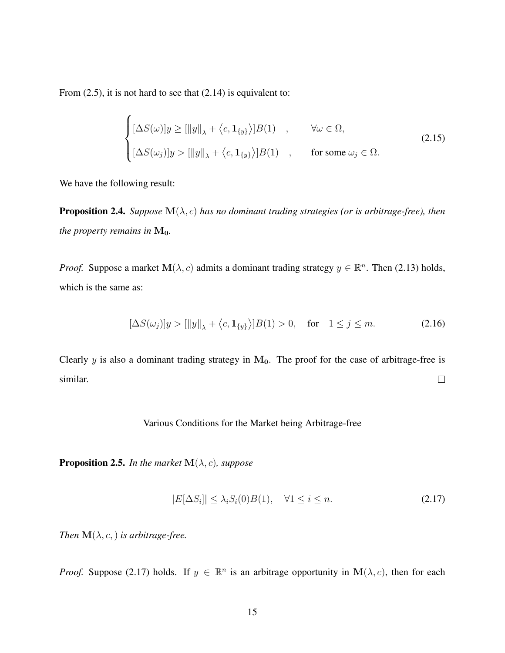From  $(2.5)$ , it is not hard to see that  $(2.14)$  is equivalent to:

$$
\begin{cases}\n[\Delta S(\omega)]y \geq [\|y\|_{\lambda} + \langle c, \mathbf{1}_{\{y\}} \rangle]B(1) & , \quad \forall \omega \in \Omega, \\
[\Delta S(\omega_j)]y > [\|y\|_{\lambda} + \langle c, \mathbf{1}_{\{y\}} \rangle]B(1) & , \quad \text{for some } \omega_j \in \Omega.\n\end{cases}
$$
\n(2.15)

We have the following result:

**Proposition 2.4.** *Suppose*  $M(\lambda, c)$  *has no dominant trading strategies (or is arbitrage-free), then the property remains in*  $M_0$ *.* 

*Proof.* Suppose a market  $\mathbf{M}(\lambda, c)$  admits a dominant trading strategy  $y \in \mathbb{R}^n$ . Then [\(2.13\)](#page-20-2) holds, which is the same as:

<span id="page-21-2"></span>
$$
[\Delta S(\omega_j)]y > [\|y\|_{\lambda} + \langle c, \mathbf{1}_{\{y\}}\rangle]B(1) > 0, \quad \text{for} \quad 1 \le j \le m. \tag{2.16}
$$

Clearly y is also a dominant trading strategy in  $M_0$ . The proof for the case of arbitrage-free is similar.  $\Box$ 

#### <span id="page-21-0"></span>Various Conditions for the Market being Arbitrage-free

**Proposition 2.5.** *In the market*  $\mathbf{M}(\lambda, c)$ *, suppose* 

<span id="page-21-1"></span>
$$
|E[\Delta S_i]| \le \lambda_i S_i(0)B(1), \quad \forall 1 \le i \le n. \tag{2.17}
$$

*Then*  $\mathbf{M}(\lambda, c, )$  *is arbitrage-free.* 

*Proof.* Suppose [\(2.17\)](#page-21-1) holds. If  $y \in \mathbb{R}^n$  is an arbitrage opportunity in  $M(\lambda, c)$ , then for each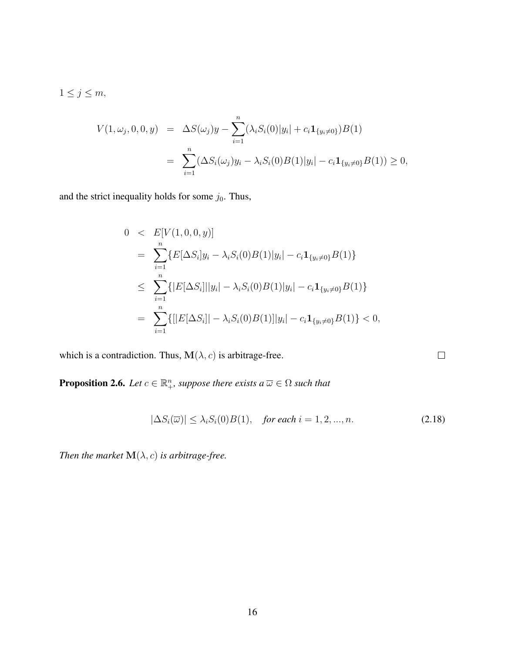$1 \leq j \leq m$ ,

<span id="page-22-0"></span>
$$
V(1, \omega_j, 0, 0, y) = \Delta S(\omega_j) y - \sum_{i=1}^n (\lambda_i S_i(0) |y_i| + c_i \mathbf{1}_{\{y_i \neq 0\}}) B(1)
$$
  
= 
$$
\sum_{i=1}^n (\Delta S_i(\omega_j) y_i - \lambda_i S_i(0) B(1) |y_i| - c_i \mathbf{1}_{\{y_i \neq 0\}} B(1)) \ge 0,
$$

and the strict inequality holds for some  $j_0$ . Thus,

$$
0 < E[V(1, 0, 0, y)]
$$
\n
$$
= \sum_{i=1}^{n} \{E[\Delta S_i]y_i - \lambda_i S_i(0)B(1)|y_i| - c_i \mathbf{1}_{\{y_i \neq 0\}} B(1)\}
$$
\n
$$
\leq \sum_{i=1}^{n} \{ |E[\Delta S_i]||y_i| - \lambda_i S_i(0)B(1)|y_i| - c_i \mathbf{1}_{\{y_i \neq 0\}} B(1) \}
$$
\n
$$
= \sum_{i=1}^{n} \{ [|E[\Delta S_i]| - \lambda_i S_i(0)B(1)]|y_i| - c_i \mathbf{1}_{\{y_i \neq 0\}} B(1) \} < 0,
$$

which is a contradiction. Thus,  $\mathbf{M}(\lambda, c)$  is arbitrage-free.

**Proposition 2.6.** Let  $c \in \mathbb{R}^n_+$ , suppose there exists  $a \overline{\omega} \in \Omega$  such that

$$
|\Delta S_i(\overline{\omega})| \le \lambda_i S_i(0)B(1), \quad \text{for each } i = 1, 2, \dots, n. \tag{2.18}
$$

*Then the market*  $\mathbf{M}(\lambda, c)$  *is arbitrage-free.* 

 $\Box$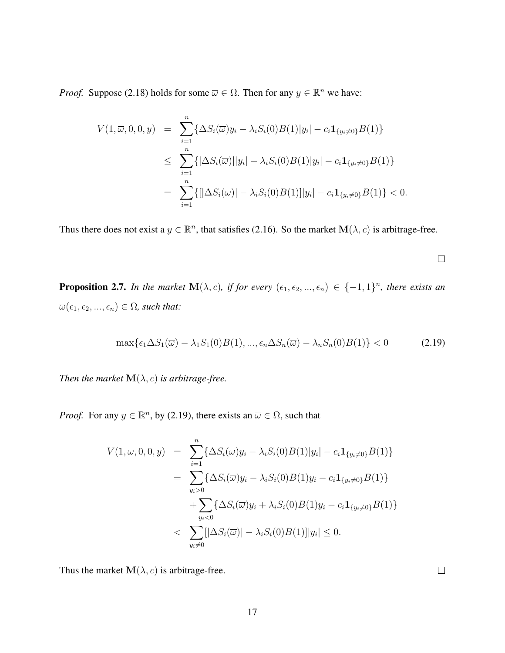*Proof.* Suppose [\(2.18\)](#page-22-0) holds for some  $\overline{\omega} \in \Omega$ . Then for any  $y \in \mathbb{R}^n$  we have:

<span id="page-23-0"></span>
$$
V(1, \overline{\omega}, 0, 0, y) = \sum_{i=1}^{n} \{ \Delta S_i(\overline{\omega}) y_i - \lambda_i S_i(0) B(1) |y_i| - c_i \mathbf{1}_{\{y_i \neq 0\}} B(1) \}
$$
  
\n
$$
\leq \sum_{i=1}^{n} \{ |\Delta S_i(\overline{\omega})| |y_i| - \lambda_i S_i(0) B(1) |y_i| - c_i \mathbf{1}_{\{y_i \neq 0\}} B(1) \}
$$
  
\n
$$
= \sum_{i=1}^{n} \{ [|\Delta S_i(\overline{\omega})| - \lambda_i S_i(0) B(1)] |y_i| - c_i \mathbf{1}_{\{y_i \neq 0\}} B(1) \} < 0.
$$

Thus there does not exist a  $y \in \mathbb{R}^n$ , that satisfies [\(2.16\)](#page-21-2). So the market  $\mathbf{M}(\lambda, c)$  is arbitrage-free.

 $\Box$ 

**Proposition 2.7.** In the market  $\mathbf{M}(\lambda, c)$ , if for every  $(\epsilon_1, \epsilon_2, ..., \epsilon_n) \in \{-1, 1\}^n$ , there exists an  $\overline{\omega}(\epsilon_1, \epsilon_2, ..., \epsilon_n) \in \Omega$ , such that:

$$
\max\{\epsilon_1 \Delta S_1(\overline{\omega}) - \lambda_1 S_1(0)B(1), \dots, \epsilon_n \Delta S_n(\overline{\omega}) - \lambda_n S_n(0)B(1)\} < 0 \tag{2.19}
$$

*Then the market*  $\mathbf{M}(\lambda, c)$  *is arbitrage-free.* 

*Proof.* For any  $y \in \mathbb{R}^n$ , by [\(2.19\)](#page-23-0), there exists an  $\overline{\omega} \in \Omega$ , such that

$$
V(1, \overline{\omega}, 0, 0, y) = \sum_{i=1}^{n} \{ \Delta S_i(\overline{\omega}) y_i - \lambda_i S_i(0) B(1) |y_i| - c_i \mathbf{1}_{\{y_i \neq 0\}} B(1) \}
$$
  
\n
$$
= \sum_{y_i > 0} \{ \Delta S_i(\overline{\omega}) y_i - \lambda_i S_i(0) B(1) y_i - c_i \mathbf{1}_{\{y_i \neq 0\}} B(1) \}
$$
  
\n
$$
+ \sum_{y_i < 0} \{ \Delta S_i(\overline{\omega}) y_i + \lambda_i S_i(0) B(1) y_i - c_i \mathbf{1}_{\{y_i \neq 0\}} B(1) \}
$$
  
\n
$$
< \sum_{y_i \neq 0} [|\Delta S_i(\overline{\omega})| - \lambda_i S_i(0) B(1)] |y_i| \leq 0.
$$

Thus the market  $\mathbf{M}(\lambda, c)$  is arbitrage-free.

 $\Box$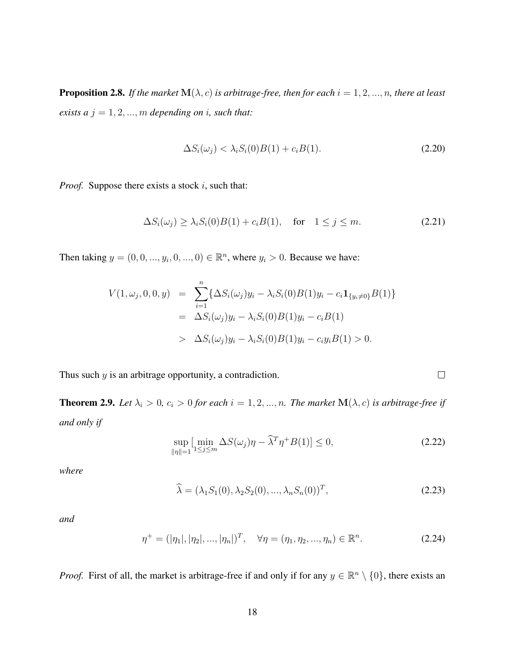**Proposition 2.8.** *If the market*  $\mathbf{M}(\lambda, c)$  *is arbitrage-free, then for each*  $i = 1, 2, ..., n$ *, there at least exists a*  $j = 1, 2, ..., m$  *depending on i*, *such that:* 

$$
\Delta S_i(\omega_j) < \lambda_i S_i(0)B(1) + c_i B(1). \tag{2.20}
$$

*Proof.* Suppose there exists a stock i, such that:

$$
\Delta S_i(\omega_j) \ge \lambda_i S_i(0)B(1) + c_i B(1), \quad \text{for} \quad 1 \le j \le m. \tag{2.21}
$$

Then taking  $y = (0, 0, ..., y_i, 0, ..., 0) \in \mathbb{R}^n$ , where  $y_i > 0$ . Because we have:

<span id="page-24-0"></span>
$$
V(1, \omega_j, 0, 0, y) = \sum_{i=1}^n {\{\Delta S_i(\omega_j)y_i - \lambda_i S_i(0)B(1)y_i - c_i \mathbf{1}_{\{y_i \neq 0\}} B(1)\}}
$$
  
=  $\Delta S_i(\omega_j)y_i - \lambda_i S_i(0)B(1)y_i - c_i B(1)$   
>  $\Delta S_i(\omega_j)y_i - \lambda_i S_i(0)B(1)y_i - c_i y_i B(1) > 0.$ 

Thus such  $y$  is an arbitrage opportunity, a contradiction.

**Theorem 2.9.** Let  $\lambda_i > 0$ ,  $c_i > 0$  for each  $i = 1, 2, ..., n$ . The market  $\mathbf{M}(\lambda, c)$  is arbitrage-free if *and only if*

$$
\sup_{\|\eta\|=1} \left[ \min_{1\le j\le m} \Delta S(\omega_j)\eta - \widehat{\lambda}^T \eta^+ B(1) \right] \le 0,
$$
\n(2.22)

 $\Box$ 

*where*

$$
\widehat{\lambda} = (\lambda_1 S_1(0), \lambda_2 S_2(0), ..., \lambda_n S_n(0))^T, \tag{2.23}
$$

*and*

$$
\eta^+ = (|\eta_1|, |\eta_2|, ..., |\eta_n|)^T, \quad \forall \eta = (\eta_1, \eta_2, ..., \eta_n) \in \mathbb{R}^n.
$$
 (2.24)

*Proof.* First of all, the market is arbitrage-free if and only if for any  $y \in \mathbb{R}^n \setminus \{0\}$ , there exists an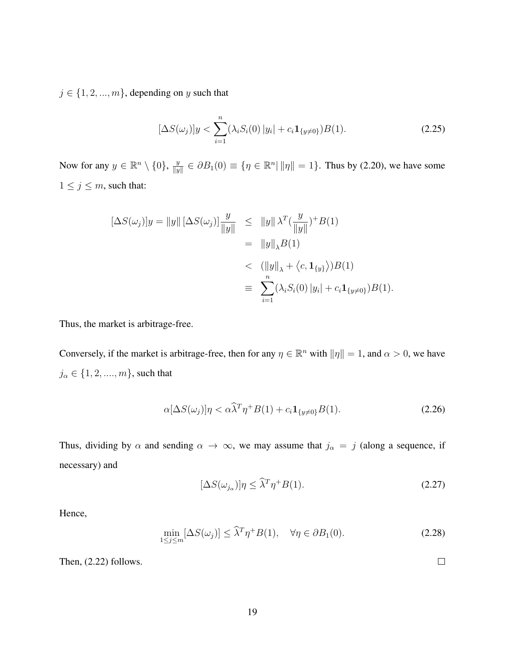$j \in \{1, 2, ..., m\}$ , depending on y such that

$$
[\Delta S(\omega_j)]y < \sum_{i=1}^n (\lambda_i S_i(0) |y_i| + c_i \mathbf{1}_{\{y \neq 0\}}) B(1).
$$
 (2.25)

Now for any  $y \in \mathbb{R}^n \setminus \{0\}$ ,  $\frac{y}{\|y\|}$  $\frac{y}{\|y\|} \in \partial B_1(0) \equiv \{ \eta \in \mathbb{R}^n \mid \|\eta\| = 1 \}.$  Thus by (2.20), we have some  $1 \leq j \leq m$ , such that:

$$
\begin{aligned}\n[\Delta S(\omega_j)]y &= \|y\| [\Delta S(\omega_j)] \frac{y}{\|y\|} &\leq \|y\| \lambda^T (\frac{y}{\|y\|})^+ B(1) \\
&= \|y\|_{\lambda} B(1) \\
&\leq (||y||_{\lambda} + \langle c, \mathbf{1}_{\{y\}} \rangle) B(1) \\
&\equiv \sum_{i=1}^n (\lambda_i S_i(0) |y_i| + c_i \mathbf{1}_{\{y \neq 0\}}) B(1).\n\end{aligned}
$$

Thus, the market is arbitrage-free.

Conversely, if the market is arbitrage-free, then for any  $\eta \in \mathbb{R}^n$  with  $\|\eta\| = 1$ , and  $\alpha > 0$ , we have  $j_\alpha \in \{1,2,....,m\},$  such that

$$
\alpha[\Delta S(\omega_j)]\eta < \alpha \widehat{\lambda}^T \eta^+ B(1) + c_i \mathbf{1}_{\{y \neq 0\}} B(1). \tag{2.26}
$$

Thus, dividing by  $\alpha$  and sending  $\alpha \to \infty$ , we may assume that  $j_{\alpha} = j$  (along a sequence, if necessary) and

$$
[\Delta S(\omega_{j_{\alpha}})]\eta \le \widehat{\lambda}^T \eta^+ B(1). \tag{2.27}
$$

Hence,

$$
\min_{1 \le j \le m} [\Delta S(\omega_j)] \le \widehat{\lambda}^T \eta^+ B(1), \quad \forall \eta \in \partial B_1(0). \tag{2.28}
$$

Then, [\(2.22\)](#page-24-0) follows.

 $\Box$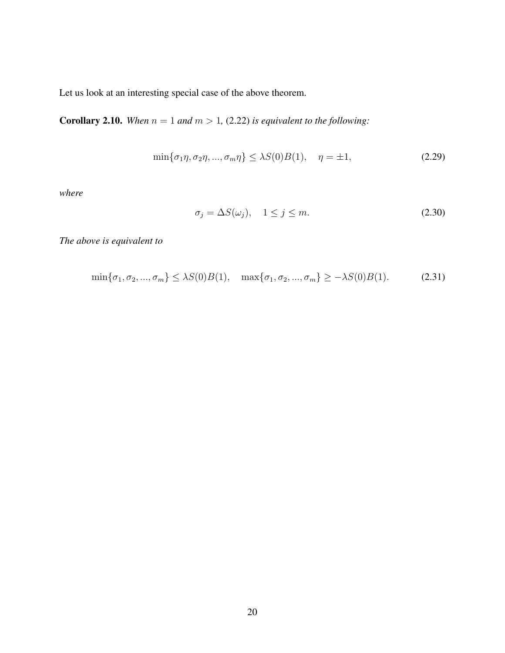Let us look at an interesting special case of the above theorem.

**Corollary 2.10.** When  $n = 1$  and  $m > 1$ , [\(2.22\)](#page-24-0) is equivalent to the following:

$$
\min\{\sigma_1\eta, \sigma_2\eta, ..., \sigma_m\eta\} \le \lambda S(0)B(1), \quad \eta = \pm 1,
$$
\n(2.29)

*where*

$$
\sigma_j = \Delta S(\omega_j), \quad 1 \le j \le m. \tag{2.30}
$$

*The above is equivalent to*

$$
\min\{\sigma_1, \sigma_2, ..., \sigma_m\} \le \lambda S(0)B(1), \quad \max\{\sigma_1, \sigma_2, ..., \sigma_m\} \ge -\lambda S(0)B(1). \tag{2.31}
$$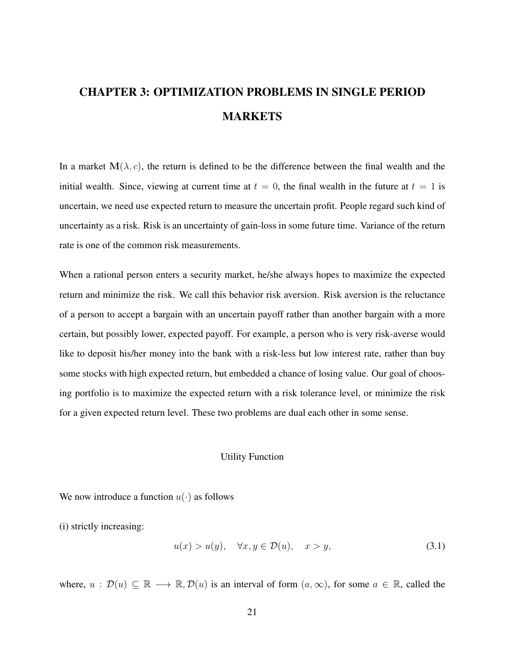# <span id="page-27-0"></span>CHAPTER 3: OPTIMIZATION PROBLEMS IN SINGLE PERIOD MARKETS

In a market  $\mathbf{M}(\lambda, c)$ , the return is defined to be the difference between the final wealth and the initial wealth. Since, viewing at current time at  $t = 0$ , the final wealth in the future at  $t = 1$  is uncertain, we need use expected return to measure the uncertain profit. People regard such kind of uncertainty as a risk. Risk is an uncertainty of gain-loss in some future time. Variance of the return rate is one of the common risk measurements.

When a rational person enters a security market, he/she always hopes to maximize the expected return and minimize the risk. We call this behavior risk aversion. Risk aversion is the reluctance of a person to accept a bargain with an uncertain payoff rather than another bargain with a more certain, but possibly lower, expected payoff. For example, a person who is very risk-averse would like to deposit his/her money into the bank with a risk-less but low interest rate, rather than buy some stocks with high expected return, but embedded a chance of losing value. Our goal of choosing portfolio is to maximize the expected return with a risk tolerance level, or minimize the risk for a given expected return level. These two problems are dual each other in some sense.

#### <span id="page-27-1"></span>Utility Function

We now introduce a function  $u(\cdot)$  as follows

(i) strictly increasing:

$$
u(x) > u(y), \quad \forall x, y \in \mathcal{D}(u), \quad x > y,
$$
\n
$$
(3.1)
$$

where,  $u : \mathcal{D}(u) \subseteq \mathbb{R} \longrightarrow \mathbb{R}, \mathcal{D}(u)$  is an interval of form  $(a, \infty)$ , for some  $a \in \mathbb{R}$ , called the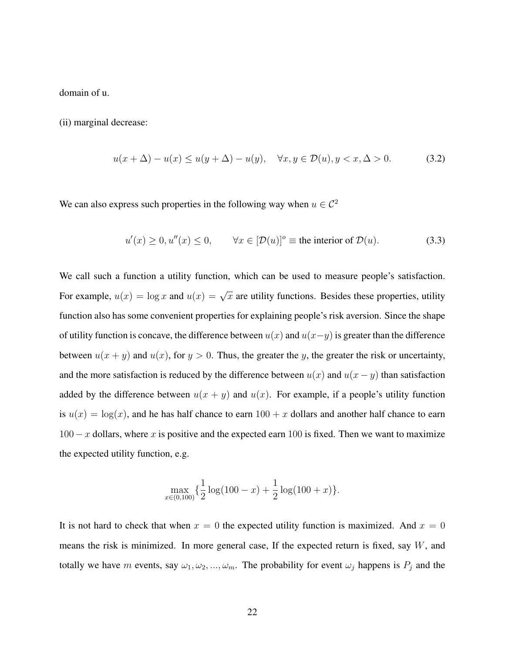domain of u.

(ii) marginal decrease:

$$
u(x + \Delta) - u(x) \le u(y + \Delta) - u(y), \quad \forall x, y \in \mathcal{D}(u), y < x, \Delta > 0. \tag{3.2}
$$

We can also express such properties in the following way when  $u \in C^2$ 

$$
u'(x) \ge 0, u''(x) \le 0, \qquad \forall x \in [\mathcal{D}(u)]^o \equiv \text{the interior of } \mathcal{D}(u). \tag{3.3}
$$

We call such a function a utility function, which can be used to measure people's satisfaction. For example,  $u(x) = \log x$  and  $u(x) = \sqrt{x}$  are utility functions. Besides these properties, utility function also has some convenient properties for explaining people's risk aversion. Since the shape of utility function is concave, the difference between  $u(x)$  and  $u(x-y)$  is greater than the difference between  $u(x + y)$  and  $u(x)$ , for  $y > 0$ . Thus, the greater the y, the greater the risk or uncertainty, and the more satisfaction is reduced by the difference between  $u(x)$  and  $u(x - y)$  than satisfaction added by the difference between  $u(x + y)$  and  $u(x)$ . For example, if a people's utility function is  $u(x) = \log(x)$ , and he has half chance to earn  $100 + x$  dollars and another half chance to earn  $100 - x$  dollars, where x is positive and the expected earn 100 is fixed. Then we want to maximize the expected utility function, e.g.

$$
\max_{x \in (0,100)} \left\{ \frac{1}{2} \log(100 - x) + \frac{1}{2} \log(100 + x) \right\}.
$$

It is not hard to check that when  $x = 0$  the expected utility function is maximized. And  $x = 0$ means the risk is minimized. In more general case, If the expected return is fixed, say W, and totally we have m events, say  $\omega_1, \omega_2, ..., \omega_m$ . The probability for event  $\omega_j$  happens is  $P_j$  and the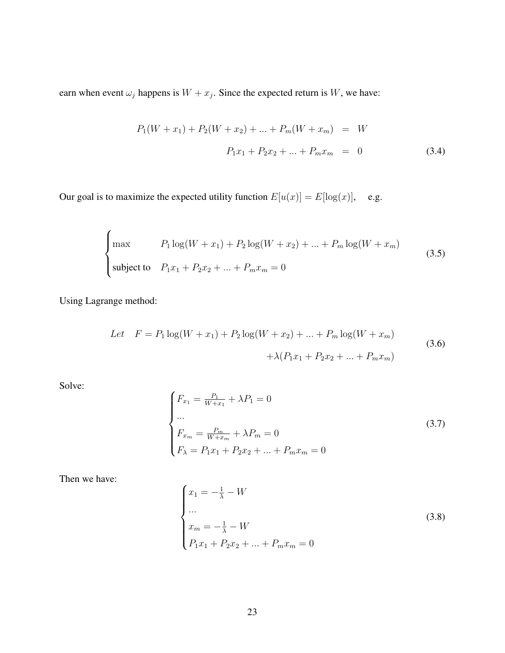earn when event  $\omega_j$  happens is  $W + x_j$ . Since the expected return is W, we have:

$$
P_1(W + x_1) + P_2(W + x_2) + \dots + P_m(W + x_m) = W
$$
  

$$
P_1x_1 + P_2x_2 + \dots + P_mx_m = 0
$$
 (3.4)

Our goal is to maximize the expected utility function  $E[u(x)] = E[\log(x)]$ , e.g.

$$
\begin{cases}\n\max & P_1 \log(W + x_1) + P_2 \log(W + x_2) + \dots + P_m \log(W + x_m) \\
\text{subject to} & P_1 x_1 + P_2 x_2 + \dots + P_m x_m = 0\n\end{cases}
$$
\n(3.5)

Using Lagrange method:

Let 
$$
F = P_1 \log(W + x_1) + P_2 \log(W + x_2) + \dots + P_m \log(W + x_m)
$$
  
  $+ \lambda (P_1 x_1 + P_2 x_2 + \dots + P_m x_m)$  (3.6)

Solve:

$$
\begin{cases}\nF_{x_1} = \frac{P_1}{W + x_1} + \lambda P_1 = 0 \\
\cdots \\
F_{x_m} = \frac{P_m}{W + x_m} + \lambda P_m = 0 \\
F_{\lambda} = P_1 x_1 + P_2 x_2 + \cdots + P_m x_m = 0\n\end{cases}
$$
\n(3.7)

Then we have:

$$
\begin{cases}\nx_1 = -\frac{1}{\lambda} - W \\
\cdots \\
x_m = -\frac{1}{\lambda} - W \\
P_1 x_1 + P_2 x_2 + \cdots + P_m x_m = 0\n\end{cases}
$$
\n(3.8)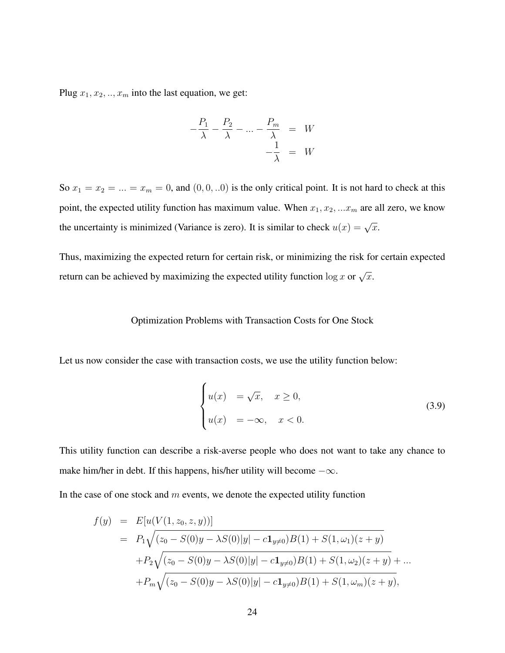Plug  $x_1, x_2, \ldots, x_m$  into the last equation, we get:

<span id="page-30-1"></span>
$$
-\frac{P_1}{\lambda} - \frac{P_2}{\lambda} - \dots - \frac{P_m}{\lambda} = W
$$

$$
-\frac{1}{\lambda} = W
$$

So  $x_1 = x_2 = ... = x_m = 0$ , and  $(0, 0, ...0)$  is the only critical point. It is not hard to check at this point, the expected utility function has maximum value. When  $x_1, x_2, ... x_m$  are all zero, we know the uncertainty is minimized (Variance is zero). It is similar to check  $u(x) = \sqrt{x}$ .

Thus, maximizing the expected return for certain risk, or minimizing the risk for certain expected return can be achieved by maximizing the expected utility function  $\log x$  or  $\sqrt{x}$ .

#### <span id="page-30-0"></span>Optimization Problems with Transaction Costs for One Stock

Let us now consider the case with transaction costs, we use the utility function below:

$$
\begin{cases}\n u(x) &= \sqrt{x}, & x \ge 0, \\
 u(x) &= -\infty, & x < 0.\n\end{cases}
$$
\n(3.9)

This utility function can describe a risk-averse people who does not want to take any chance to make him/her in debt. If this happens, his/her utility will become  $-\infty$ .

In the case of one stock and  $m$  events, we denote the expected utility function

$$
f(y) = E[u(V(1, z_0, z, y))]
$$
  
=  $P_1 \sqrt{(z_0 - S(0)y - \lambda S(0)|y| - c\mathbf{1}_{y\neq 0})B(1) + S(1, \omega_1)(z + y)}$   
+  $P_2 \sqrt{(z_0 - S(0)y - \lambda S(0)|y| - c\mathbf{1}_{y\neq 0})B(1) + S(1, \omega_2)(z + y)} + ...$   
+  $P_m \sqrt{(z_0 - S(0)y - \lambda S(0)|y| - c\mathbf{1}_{y\neq 0})B(1) + S(1, \omega_m)(z + y)},$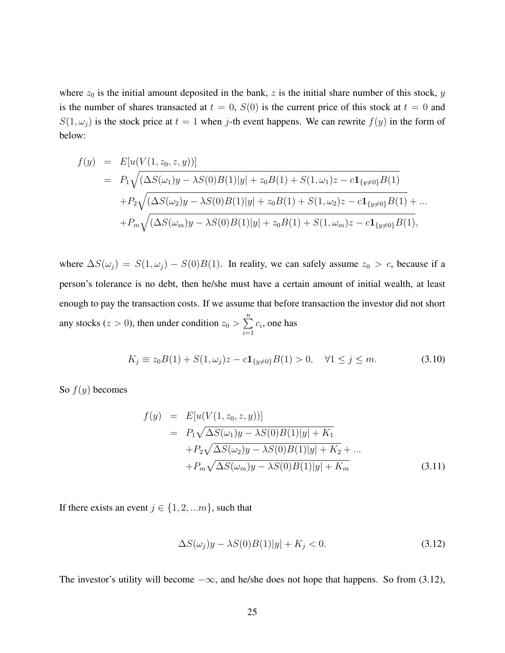where  $z_0$  is the initial amount deposited in the bank, z is the initial share number of this stock, y is the number of shares transacted at  $t = 0$ ,  $S(0)$  is the current price of this stock at  $t = 0$  and  $S(1,\omega_j)$  is the stock price at  $t=1$  when j-th event happens. We can rewrite  $f(y)$  in the form of below:

$$
f(y) = E[u(V(1, z_0, z, y))]
$$
  
=  $P_1 \sqrt{(\Delta S(\omega_1)y - \lambda S(0)B(1)|y| + z_0B(1) + S(1, \omega_1)z - c\mathbf{1}_{\{y\neq 0\}}B(1)}$   
+ $P_2 \sqrt{(\Delta S(\omega_2)y - \lambda S(0)B(1)|y| + z_0B(1) + S(1, \omega_2)z - c\mathbf{1}_{\{y\neq 0\}}B(1)} + ...$   
+ $P_m \sqrt{(\Delta S(\omega_m)y - \lambda S(0)B(1)|y| + z_0B(1) + S(1, \omega_m)z - c\mathbf{1}_{\{y\neq 0\}}B(1)},$ 

where  $\Delta S(\omega_j) = S(1, \omega_j) - S(0)B(1)$ . In reality, we can safely assume  $z_0 > c$ , because if a person's tolerance is no debt, then he/she must have a certain amount of initial wealth, at least enough to pay the transaction costs. If we assume that before transaction the investor did not short any stocks ( $z > 0$ ), then under condition  $z_0 > \sum_{n=1}^{\infty}$  $i=1$  $c_i$ , one has

$$
K_j \equiv z_0 B(1) + S(1, \omega_j)z - c \mathbf{1}_{\{y \neq 0\}} B(1) > 0, \quad \forall 1 \le j \le m.
$$
 (3.10)

So  $f(y)$  becomes

<span id="page-31-0"></span>
$$
f(y) = E[u(V(1, z_0, z, y))]
$$
  
=  $P_1 \sqrt{\Delta S(\omega_1) y - \lambda S(0) B(1) |y| + K_1}$   
+ $P_2 \sqrt{\Delta S(\omega_2) y - \lambda S(0) B(1) |y| + K_2} + ...$   
+ $P_m \sqrt{\Delta S(\omega_m) y - \lambda S(0) B(1) |y| + K_m}$  (3.11)

If there exists an event  $j \in \{1, 2, \ldots m\}$ , such that

$$
\Delta S(\omega_j)y - \lambda S(0)B(1)|y| + K_j < 0. \tag{3.12}
$$

The investor's utility will become  $-\infty$ , and he/she does not hope that happens. So from (3.12),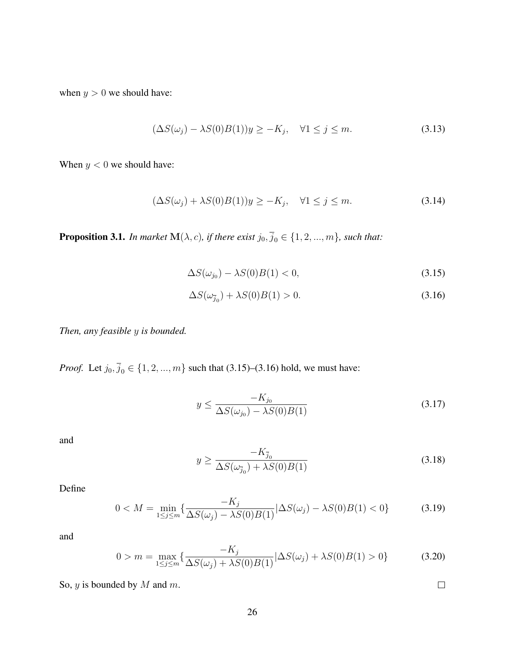when  $y > 0$  we should have:

$$
(\Delta S(\omega_j) - \lambda S(0)B(1))y \ge -K_j, \quad \forall 1 \le j \le m.
$$
\n(3.13)

When  $y < 0$  we should have:

$$
(\Delta S(\omega_j) + \lambda S(0)B(1))y \ge -K_j, \quad \forall 1 \le j \le m. \tag{3.14}
$$

**Proposition 3.1.** *In market*  $\mathbf{M}(\lambda, c)$ *, if there exist*  $j_0, \overline{j}_0 \in \{1, 2, ..., m\}$ *, such that:* 

<span id="page-32-0"></span>
$$
\Delta S(\omega_{j_0}) - \lambda S(0)B(1) < 0,\tag{3.15}
$$

$$
\Delta S(\omega_{\overline{j}_0}) + \lambda S(0)B(1) > 0. \tag{3.16}
$$

*Then, any feasible* y *is bounded.*

*Proof.* Let  $j_0, \overline{j}_0 \in \{1, 2, ..., m\}$  such that [\(3.15\)](#page-32-0)–[\(3.16\)](#page-32-0) hold, we must have:

$$
y \le \frac{-K_{j_0}}{\Delta S(\omega_{j_0}) - \lambda S(0)B(1)}
$$
\n(3.17)

and

$$
y \ge \frac{-K_{\bar{j}_0}}{\Delta S(\omega_{\bar{j}_0}) + \lambda S(0)B(1)}\tag{3.18}
$$

Define

$$
0 < M = \min_{1 \le j \le m} \{ \frac{-K_j}{\Delta S(\omega_j) - \lambda S(0)B(1)} | \Delta S(\omega_j) - \lambda S(0)B(1) < 0 \} \tag{3.19}
$$

and

$$
0 > m = \max_{1 \le j \le m} \left\{ \frac{-K_j}{\Delta S(\omega_j) + \lambda S(0)B(1)} | \Delta S(\omega_j) + \lambda S(0)B(1) > 0 \right\}
$$
(3.20)

So,  $y$  is bounded by  $M$  and  $m$ .

 $\Box$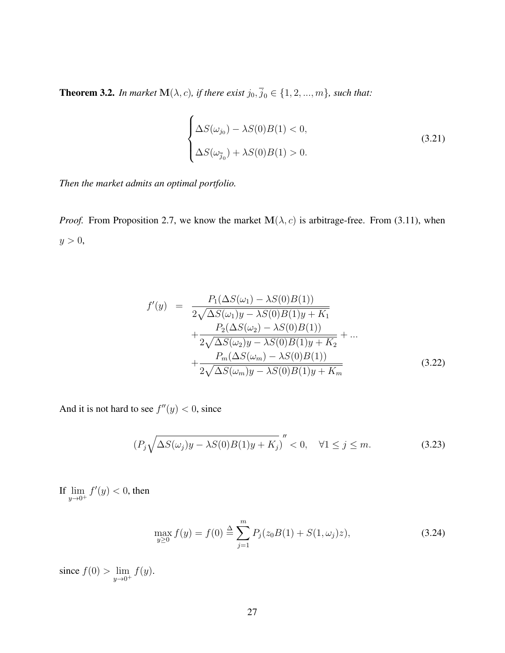**Theorem 3.2.** *In market*  $\mathbf{M}(\lambda, c)$ *, if there exist*  $j_0, \overline{j}_0 \in \{1, 2, ..., m\}$ *, such that:* 

$$
\begin{cases}\n\Delta S(\omega_{j_0}) - \lambda S(0)B(1) < 0, \\
\Delta S(\omega_{\overline{j}_0}) + \lambda S(0)B(1) > 0.\n\end{cases} \tag{3.21}
$$

*Then the market admits an optimal portfolio.*

*Proof.* From Proposition 2.7, we know the market  $M(\lambda, c)$  is arbitrage-free. From [\(3.11\)](#page-31-0), when  $y > 0$ ,

$$
f'(y) = \frac{P_1(\Delta S(\omega_1) - \lambda S(0)B(1))}{2\sqrt{\Delta S(\omega_1)y - \lambda S(0)B(1)y + K_1}} + \frac{P_2(\Delta S(\omega_2) - \lambda S(0)B(1))}{2\sqrt{\Delta S(\omega_2)y - \lambda S(0)B(1)y + K_2}} + \dots + \frac{P_m(\Delta S(\omega_m) - \lambda S(0)B(1))}{2\sqrt{\Delta S(\omega_m)y - \lambda S(0)B(1)y + K_m}}
$$
(3.22)

And it is not hard to see  $f''(y) < 0$ , since

$$
(P_j\sqrt{\Delta S(\omega_j)y - \lambda S(0)B(1)y + K_j})'' < 0, \quad \forall 1 \le j \le m.
$$
 (3.23)

If  $\lim_{y\to 0^+} f'(y) < 0$ , then

$$
\max_{y \ge 0} f(y) = f(0) \stackrel{\Delta}{=} \sum_{j=1}^{m} P_j(z_0 B(1) + S(1, \omega_j)z), \tag{3.24}
$$

since  $f(0) > \lim_{y \to 0^+} f(y)$ .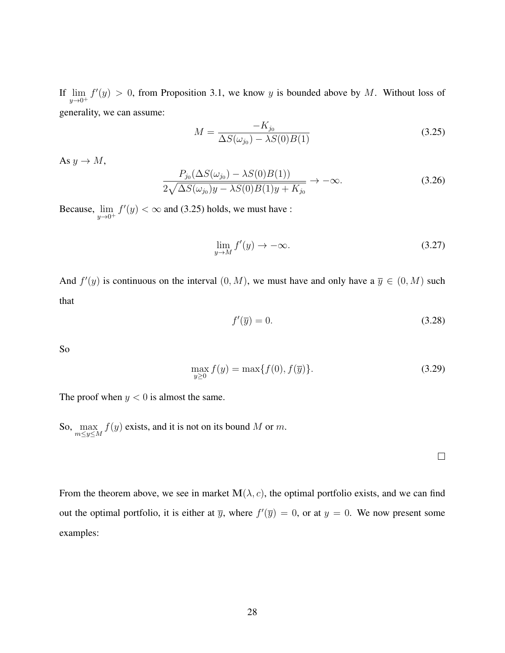If  $\lim_{y\to 0^+} f'(y) > 0$ , from Proposition 3.1, we know y is bounded above by M. Without loss of generality, we can assume:

<span id="page-34-0"></span>
$$
M = \frac{-K_{j_0}}{\Delta S(\omega_{j_0}) - \lambda S(0)B(1)}
$$
(3.25)

As  $y \rightarrow M$ ,

$$
\frac{P_{j_0}(\Delta S(\omega_{j_0}) - \lambda S(0)B(1))}{2\sqrt{\Delta S(\omega_{j_0})y - \lambda S(0)B(1)y + K_{j_0}}} \to -\infty.
$$
\n(3.26)

Because,  $\lim_{y\to 0^+} f'(y) < \infty$  and [\(3.25\)](#page-34-0) holds, we must have :

$$
\lim_{y \to M} f'(y) \to -\infty. \tag{3.27}
$$

And  $f'(y)$  is continuous on the interval  $(0, M)$ , we must have and only have a  $\overline{y} \in (0, M)$  such that

$$
f'(\overline{y}) = 0.\t\t(3.28)
$$

So

$$
\max_{y \ge 0} f(y) = \max\{f(0), f(\overline{y})\}.
$$
\n(3.29)

The proof when  $y < 0$  is almost the same.

So,  $\max_{m \le y \le M} f(y)$  exists, and it is not on its bound M or m.

From the theorem above, we see in market  $\mathbf{M}(\lambda, c)$ , the optimal portfolio exists, and we can find out the optimal portfolio, it is either at  $\overline{y}$ , where  $f'(\overline{y}) = 0$ , or at  $y = 0$ . We now present some examples:

 $\Box$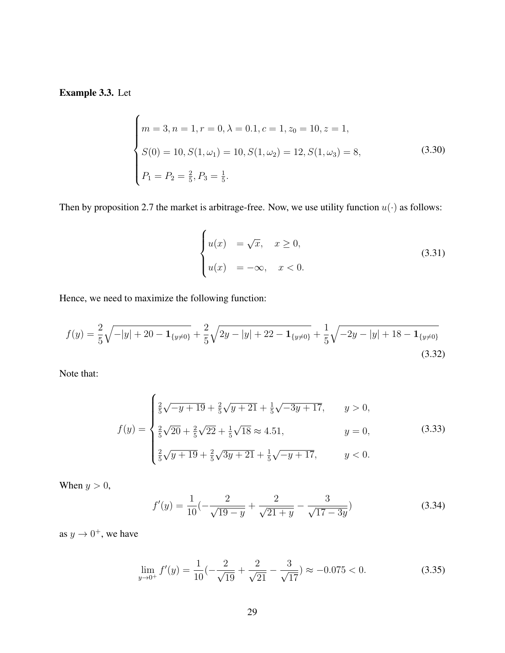Example 3.3. Let

$$
\begin{cases}\nm = 3, n = 1, r = 0, \lambda = 0.1, c = 1, z_0 = 10, z = 1, \\
S(0) = 10, S(1, \omega_1) = 10, S(1, \omega_2) = 12, S(1, \omega_3) = 8, \\
P_1 = P_2 = \frac{2}{5}, P_3 = \frac{1}{5}.\n\end{cases}
$$
\n(3.30)

Then by proposition 2.7 the market is arbitrage-free. Now, we use utility function  $u(\cdot)$  as follows:

<span id="page-35-0"></span>
$$
\begin{cases}\n u(x) &= \sqrt{x}, & x \ge 0, \\
 u(x) &= -\infty, & x < 0.\n\end{cases}
$$
\n(3.31)

Hence, we need to maximize the following function:

$$
f(y) = \frac{2}{5}\sqrt{-|y| + 20 - \mathbf{1}_{\{y \neq 0\}}} + \frac{2}{5}\sqrt{2y - |y| + 22 - \mathbf{1}_{\{y \neq 0\}}} + \frac{1}{5}\sqrt{-2y - |y| + 18 - \mathbf{1}_{\{y \neq 0\}}}
$$
\n(3.32)

Note that:

$$
f(y) = \begin{cases} \frac{2}{5}\sqrt{-y+19} + \frac{2}{5}\sqrt{y+21} + \frac{1}{5}\sqrt{-3y+17}, & y > 0, \\ \frac{2}{5}\sqrt{20} + \frac{2}{5}\sqrt{22} + \frac{1}{5}\sqrt{18} \approx 4.51, & y = 0, \\ \frac{2}{5}\sqrt{y+19} + \frac{2}{5}\sqrt{3y+21} + \frac{1}{5}\sqrt{-y+17}, & y < 0. \end{cases}
$$
(3.33)

When  $y > 0$ ,

$$
f'(y) = \frac{1}{10} \left( -\frac{2}{\sqrt{19 - y}} + \frac{2}{\sqrt{21 + y}} - \frac{3}{\sqrt{17 - 3y}} \right)
$$
(3.34)

as  $y \to 0^+$ , we have

$$
\lim_{y \to 0^+} f'(y) = \frac{1}{10} \left( -\frac{2}{\sqrt{19}} + \frac{2}{\sqrt{21}} - \frac{3}{\sqrt{17}} \right) \approx -0.075 < 0. \tag{3.35}
$$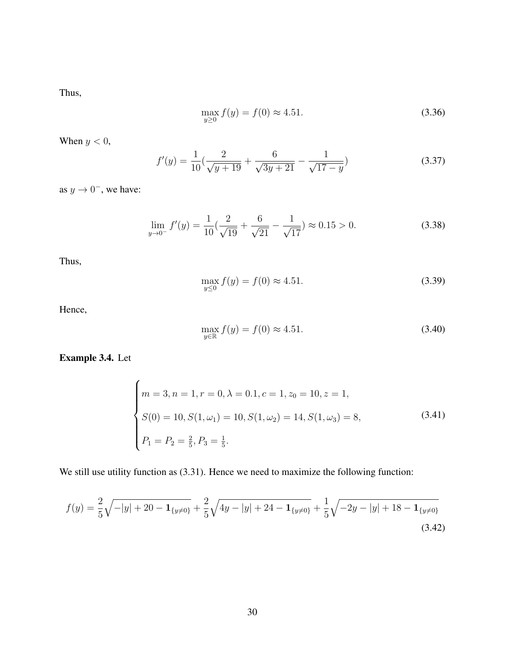Thus,

$$
\max_{y \ge 0} f(y) = f(0) \approx 4.51. \tag{3.36}
$$

When  $y < 0$ ,

$$
f'(y) = \frac{1}{10} \left( \frac{2}{\sqrt{y+19}} + \frac{6}{\sqrt{3y+21}} - \frac{1}{\sqrt{17-y}} \right)
$$
(3.37)

as  $y \to 0^-$ , we have:

$$
\lim_{y \to 0^-} f'(y) = \frac{1}{10} \left( \frac{2}{\sqrt{19}} + \frac{6}{\sqrt{21}} - \frac{1}{\sqrt{17}} \right) \approx 0.15 > 0.
$$
 (3.38)

Thus,

$$
\max_{y \le 0} f(y) = f(0) \approx 4.51. \tag{3.39}
$$

Hence,

$$
\max_{y \in \mathbb{R}} f(y) = f(0) \approx 4.51. \tag{3.40}
$$

Example 3.4. Let

$$
\begin{cases}\nm = 3, n = 1, r = 0, \lambda = 0.1, c = 1, z_0 = 10, z = 1, \\
S(0) = 10, S(1, \omega_1) = 10, S(1, \omega_2) = 14, S(1, \omega_3) = 8, \\
P_1 = P_2 = \frac{2}{5}, P_3 = \frac{1}{5}.\n\end{cases}
$$
\n(3.41)

We still use utility function as  $(3.31)$ . Hence we need to maximize the following function:

$$
f(y) = \frac{2}{5}\sqrt{-|y| + 20 - \mathbf{1}_{\{y \neq 0\}}} + \frac{2}{5}\sqrt{4y - |y| + 24 - \mathbf{1}_{\{y \neq 0\}}} + \frac{1}{5}\sqrt{-2y - |y| + 18 - \mathbf{1}_{\{y \neq 0\}}}
$$
\n(3.42)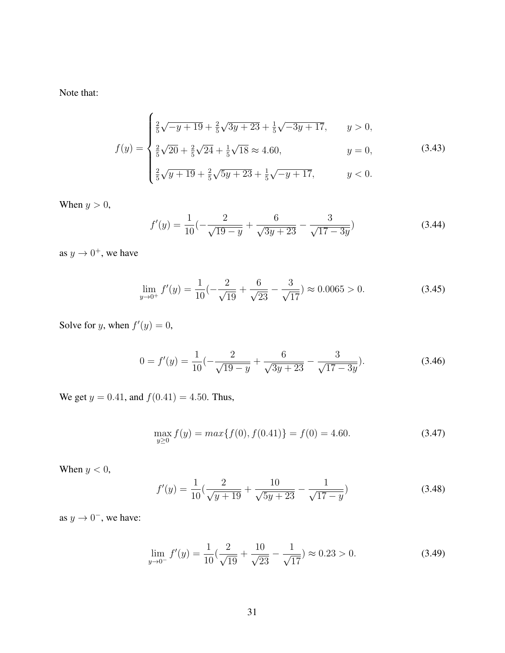Note that:

$$
f(y) = \begin{cases} \frac{2}{5}\sqrt{-y+19} + \frac{2}{5}\sqrt{3y+23} + \frac{1}{5}\sqrt{-3y+17}, & y > 0, \\ \frac{2}{5}\sqrt{20} + \frac{2}{5}\sqrt{24} + \frac{1}{5}\sqrt{18} \approx 4.60, & y = 0, \\ \frac{2}{5}\sqrt{y+19} + \frac{2}{5}\sqrt{5y+23} + \frac{1}{5}\sqrt{-y+17}, & y < 0. \end{cases}
$$
(3.43)

When  $y > 0$ ,

$$
f'(y) = \frac{1}{10} \left( -\frac{2}{\sqrt{19 - y}} + \frac{6}{\sqrt{3y + 23}} - \frac{3}{\sqrt{17 - 3y}} \right)
$$
(3.44)

as  $y \to 0^+$ , we have

$$
\lim_{y \to 0^+} f'(y) = \frac{1}{10} \left( -\frac{2}{\sqrt{19}} + \frac{6}{\sqrt{23}} - \frac{3}{\sqrt{17}} \right) \approx 0.0065 > 0. \tag{3.45}
$$

Solve for y, when  $f'(y) = 0$ ,

$$
0 = f'(y) = \frac{1}{10} \left( -\frac{2}{\sqrt{19 - y}} + \frac{6}{\sqrt{3y + 23}} - \frac{3}{\sqrt{17 - 3y}} \right).
$$
 (3.46)

We get  $y = 0.41$ , and  $f(0.41) = 4.50$ . Thus,

$$
\max_{y \ge 0} f(y) = \max\{f(0), f(0.41)\} = f(0) = 4.60. \tag{3.47}
$$

When  $y < 0$ ,

$$
f'(y) = \frac{1}{10} \left( \frac{2}{\sqrt{y+19}} + \frac{10}{\sqrt{5y+23}} - \frac{1}{\sqrt{17-y}} \right)
$$
(3.48)

as  $y \to 0^-$ , we have:

$$
\lim_{y \to 0^-} f'(y) = \frac{1}{10} \left( \frac{2}{\sqrt{19}} + \frac{10}{\sqrt{23}} - \frac{1}{\sqrt{17}} \right) \approx 0.23 > 0. \tag{3.49}
$$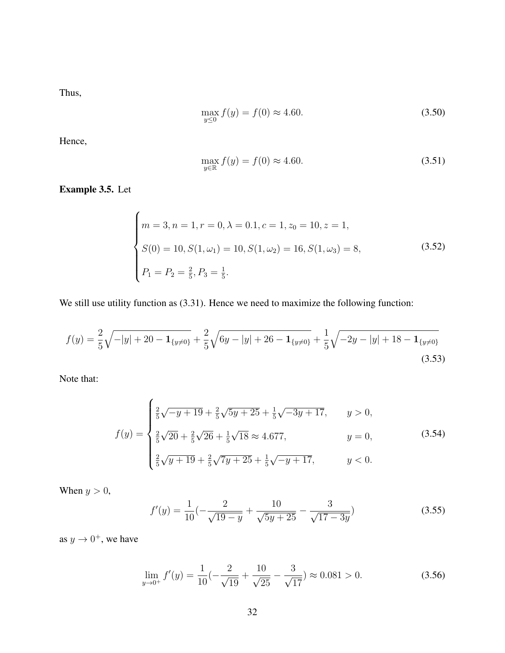Thus,

$$
\max_{y \le 0} f(y) = f(0) \approx 4.60. \tag{3.50}
$$

Hence,

$$
\max_{y \in \mathbb{R}} f(y) = f(0) \approx 4.60. \tag{3.51}
$$

Example 3.5. Let

$$
\begin{cases}\nm = 3, n = 1, r = 0, \lambda = 0.1, c = 1, z_0 = 10, z = 1, \\
S(0) = 10, S(1, \omega_1) = 10, S(1, \omega_2) = 16, S(1, \omega_3) = 8, \\
P_1 = P_2 = \frac{2}{5}, P_3 = \frac{1}{5}.\n\end{cases}
$$
\n(3.52)

We still use utility function as  $(3.31)$ . Hence we need to maximize the following function:

$$
f(y) = \frac{2}{5}\sqrt{-|y| + 20 - \mathbf{1}_{\{y \neq 0\}}} + \frac{2}{5}\sqrt{6y - |y| + 26 - \mathbf{1}_{\{y \neq 0\}}} + \frac{1}{5}\sqrt{-2y - |y| + 18 - \mathbf{1}_{\{y \neq 0\}}}
$$
\n(3.53)

Note that:

$$
f(y) = \begin{cases} \frac{2}{5}\sqrt{-y+19} + \frac{2}{5}\sqrt{5y+25} + \frac{1}{5}\sqrt{-3y+17}, & y > 0, \\ \frac{2}{5}\sqrt{20} + \frac{2}{5}\sqrt{26} + \frac{1}{5}\sqrt{18} \approx 4.677, & y = 0, \\ \frac{2}{5}\sqrt{y+19} + \frac{2}{5}\sqrt{7y+25} + \frac{1}{5}\sqrt{-y+17}, & y < 0. \end{cases}
$$
(3.54)

When  $y > 0$ ,

$$
f'(y) = \frac{1}{10} \left( -\frac{2}{\sqrt{19 - y}} + \frac{10}{\sqrt{5y + 25}} - \frac{3}{\sqrt{17 - 3y}} \right)
$$
(3.55)

as  $y \to 0^+$ , we have

$$
\lim_{y \to 0^+} f'(y) = \frac{1}{10} \left( -\frac{2}{\sqrt{19}} + \frac{10}{\sqrt{25}} - \frac{3}{\sqrt{17}} \right) \approx 0.081 > 0. \tag{3.56}
$$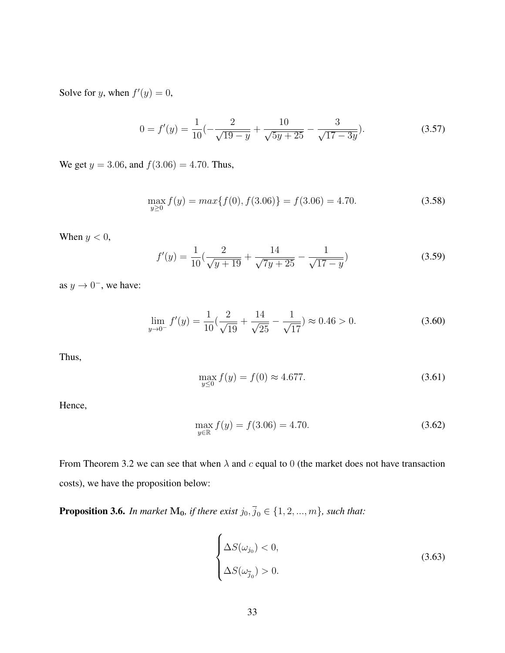Solve for y, when  $f'(y) = 0$ ,

$$
0 = f'(y) = \frac{1}{10} \left( -\frac{2}{\sqrt{19 - y}} + \frac{10}{\sqrt{5y + 25}} - \frac{3}{\sqrt{17 - 3y}} \right).
$$
 (3.57)

We get  $y = 3.06$ , and  $f(3.06) = 4.70$ . Thus,

$$
\max_{y \ge 0} f(y) = \max\{f(0), f(3.06)\} = f(3.06) = 4.70. \tag{3.58}
$$

When  $y < 0$ ,

$$
f'(y) = \frac{1}{10} \left( \frac{2}{\sqrt{y+19}} + \frac{14}{\sqrt{7y+25}} - \frac{1}{\sqrt{17-y}} \right)
$$
(3.59)

as  $y \to 0^-$ , we have:

$$
\lim_{y \to 0^-} f'(y) = \frac{1}{10} \left( \frac{2}{\sqrt{19}} + \frac{14}{\sqrt{25}} - \frac{1}{\sqrt{17}} \right) \approx 0.46 > 0. \tag{3.60}
$$

Thus,

$$
\max_{y \le 0} f(y) = f(0) \approx 4.677. \tag{3.61}
$$

Hence,

$$
\max_{y \in \mathbb{R}} f(y) = f(3.06) = 4.70. \tag{3.62}
$$

From Theorem 3.2 we can see that when  $\lambda$  and c equal to 0 (the market does not have transaction costs), we have the proposition below:

**Proposition 3.6.** *In market*  $M_0$ *, if there exist*  $j_0$ *,*  $\overline{j}_0 \in \{1, 2, ..., m\}$ *, such that:* 

$$
\begin{cases}\n\Delta S(\omega_{j_0}) < 0, \\
\Delta S(\omega_{\overline{j}_0}) > 0.\n\end{cases} \tag{3.63}
$$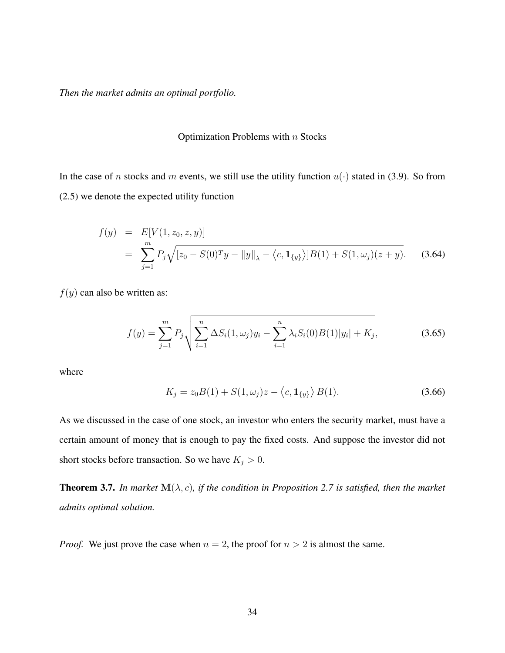*Then the market admits an optimal portfolio.*

#### <span id="page-40-0"></span>Optimization Problems with  $n$  Stocks

In the case of n stocks and m events, we still use the utility function  $u(\cdot)$  stated in [\(3.9\)](#page-30-1). So from [\(2.5\)](#page-18-1) we denote the expected utility function

$$
f(y) = E[V(1, z_0, z, y)]
$$
  
= 
$$
\sum_{j=1}^{m} P_j \sqrt{[z_0 - S(0)^T y - ||y||_{\lambda} - \langle c, \mathbf{1}_{\{y\}} \rangle] B(1) + S(1, \omega_j)(z + y)}.
$$
 (3.64)

 $f(y)$  can also be written as:

$$
f(y) = \sum_{j=1}^{m} P_j \sqrt{\sum_{i=1}^{n} \Delta S_i(1, \omega_j) y_i - \sum_{i=1}^{n} \lambda_i S_i(0) B(1) |y_i| + K_j},
$$
\n(3.65)

where

$$
K_j = z_0 B(1) + S(1, \omega_j)z - \langle c, \mathbf{1}_{\{y\}} \rangle B(1). \tag{3.66}
$$

As we discussed in the case of one stock, an investor who enters the security market, must have a certain amount of money that is enough to pay the fixed costs. And suppose the investor did not short stocks before transaction. So we have  $K_j > 0$ .

**Theorem 3.7.** In market  $\mathbf{M}(\lambda, c)$ , if the condition in Proposition 2.7 is satisfied, then the market *admits optimal solution.*

*Proof.* We just prove the case when  $n = 2$ , the proof for  $n > 2$  is almost the same.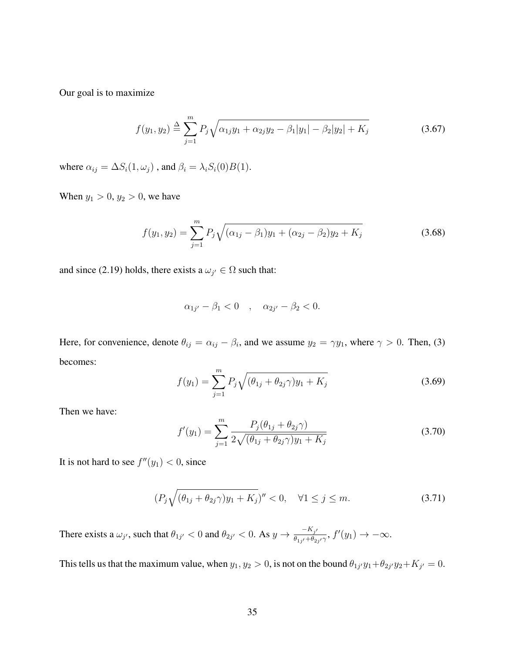Our goal is to maximize

<span id="page-41-0"></span>
$$
f(y_1, y_2) \stackrel{\Delta}{=} \sum_{j=1}^{m} P_j \sqrt{\alpha_{1j} y_1 + \alpha_{2j} y_2 - \beta_1 |y_1| - \beta_2 |y_2| + K_j}
$$
(3.67)

where  $\alpha_{ij} = \Delta S_i(1, \omega_j)$ , and  $\beta_i = \lambda_i S_i(0)B(1)$ .

When  $y_1 > 0, y_2 > 0$ , we have

$$
f(y_1, y_2) = \sum_{j=1}^{m} P_j \sqrt{(\alpha_{1j} - \beta_1)y_1 + (\alpha_{2j} - \beta_2)y_2 + K_j}
$$
 (3.68)

and since [\(2.19\)](#page-23-0) holds, there exists a  $\omega_{j'} \in \Omega$  such that:

$$
\alpha_{1j'} - \beta_1 < 0 \quad , \quad \alpha_{2j'} - \beta_2 < 0.
$$

Here, for convenience, denote  $\theta_{ij} = \alpha_{ij} - \beta_i$ , and we assume  $y_2 = \gamma y_1$ , where  $\gamma > 0$ . Then, [\(3\)](#page-41-0) becomes:

$$
f(y_1) = \sum_{j=1}^{m} P_j \sqrt{(\theta_{1j} + \theta_{2j}\gamma)y_1 + K_j}
$$
 (3.69)

Then we have:

$$
f'(y_1) = \sum_{j=1}^{m} \frac{P_j(\theta_{1j} + \theta_{2j}\gamma)}{2\sqrt{(\theta_{1j} + \theta_{2j}\gamma)y_1 + K_j}}
$$
(3.70)

It is not hard to see  $f''(y_1) < 0$ , since

$$
(P_j\sqrt{(\theta_{1j}+\theta_{2j}\gamma)y_1+K_j})''<0, \quad \forall 1\leq j\leq m. \tag{3.71}
$$

There exists a  $\omega_{j'}$ , such that  $\theta_{1j'} < 0$  and  $\theta_{2j'} < 0$ . As  $y \to \frac{-K_{j'}}{\theta_{j,j'}+\theta_{\alpha'}}$  $\frac{-\kappa_{j'}}{\theta_{1j'}+\theta_{2j'}\gamma}$ ,  $f'(y_1) \to -\infty$ .

This tells us that the maximum value, when  $y_1, y_2 > 0$ , is not on the bound  $\theta_{1j'}y_1 + \theta_{2j'}y_2 + K_{j'} = 0$ .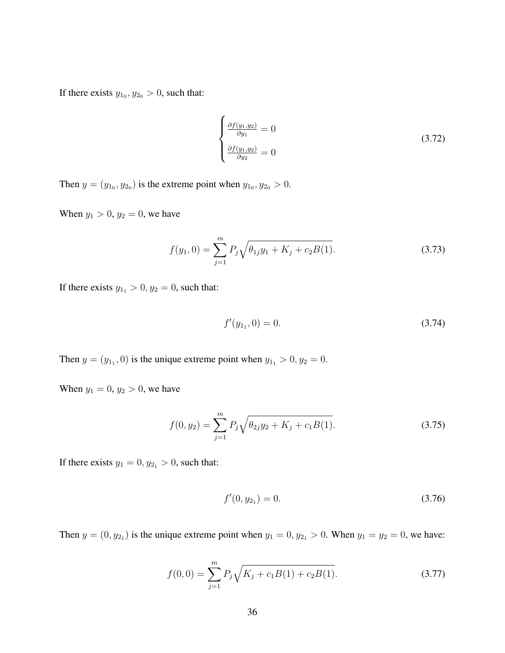If there exists  $y_{1_0}, y_{2_0} > 0$ , such that:

$$
\begin{cases}\n\frac{\partial f(y_1, y_2)}{\partial y_1} = 0\\ \n\frac{\partial f(y_1, y_2)}{\partial y_2} = 0\n\end{cases}
$$
\n(3.72)

Then  $y = (y_{1_0}, y_{2_0})$  is the extreme point when  $y_{1_0}, y_{2_0} > 0$ .

When  $y_1 > 0$ ,  $y_2 = 0$ , we have

$$
f(y_1, 0) = \sum_{j=1}^{m} P_j \sqrt{\theta_{1j} y_1 + K_j + c_2 B(1)}.
$$
 (3.73)

If there exists  $y_{1_1} > 0$ ,  $y_2 = 0$ , such that:

$$
f'(y_{1},0) = 0.\t\t(3.74)
$$

Then  $y = (y_{11}, 0)$  is the unique extreme point when  $y_{11} > 0, y_2 = 0$ .

When  $y_1 = 0, y_2 > 0$ , we have

$$
f(0, y_2) = \sum_{j=1}^{m} P_j \sqrt{\theta_{2j} y_2 + K_j + c_1 B(1)}.
$$
 (3.75)

If there exists  $y_1 = 0, y_{2_1} > 0$ , such that:

$$
f'(0, y_{2_1}) = 0. \t\t(3.76)
$$

Then  $y = (0, y_{2_1})$  is the unique extreme point when  $y_1 = 0, y_{2_1} > 0$ . When  $y_1 = y_2 = 0$ , we have:

$$
f(0,0) = \sum_{j=1}^{m} P_j \sqrt{K_j + c_1 B(1) + c_2 B(1)}.
$$
 (3.77)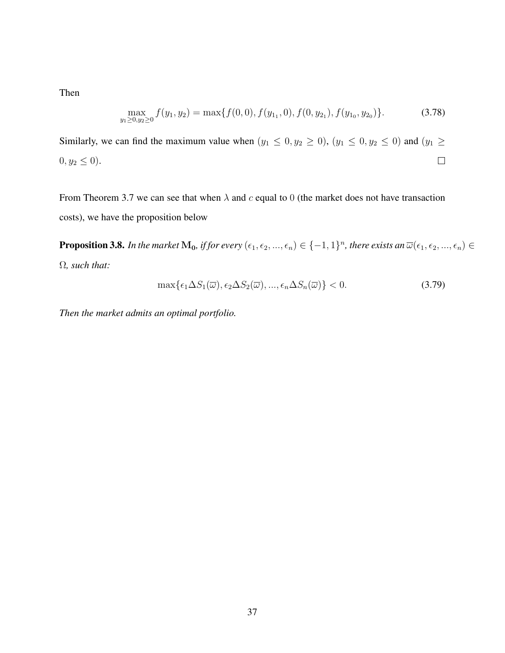Then

$$
\max_{y_1 \ge 0, y_2 \ge 0} f(y_1, y_2) = \max\{f(0, 0), f(y_{1_1}, 0), f(0, y_{2_1}), f(y_{1_0}, y_{2_0})\}.
$$
\n(3.78)

Similarly, we can find the maximum value when  $(y_1 \le 0, y_2 \ge 0)$ ,  $(y_1 \le 0, y_2 \le 0)$  and  $(y_1 \ge 0)$  $\Box$  $0, y_2 \le 0$ ).

From Theorem 3.7 we can see that when  $\lambda$  and c equal to 0 (the market does not have transaction costs), we have the proposition below

 $\bf Proposition 3.8.$  In the market  $\bf{M_0}$ , if for every  $(\epsilon_1,\epsilon_2,...,\epsilon_n)\in\{-1,1\}^n$ , there exists an  $\overline{\omega}(\epsilon_1,\epsilon_2,...,\epsilon_n)\in\{$ Ω*, such that:*

$$
\max\{\epsilon_1 \Delta S_1(\overline{\omega}), \epsilon_2 \Delta S_2(\overline{\omega}), ..., \epsilon_n \Delta S_n(\overline{\omega})\} < 0. \tag{3.79}
$$

*Then the market admits an optimal portfolio.*